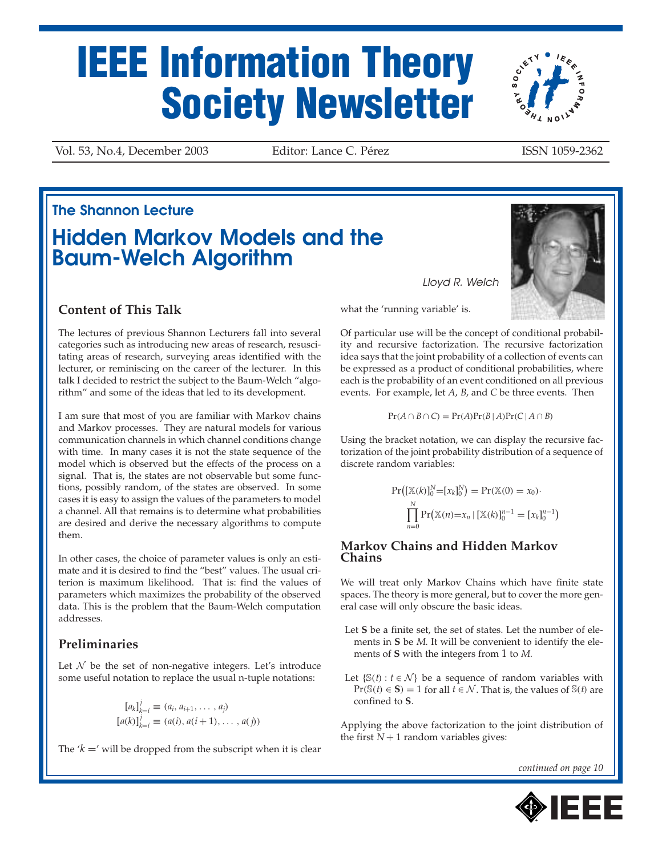# **IEEE Information Theory Society Newsletter**

Vol. 53, No.4, December 2003 Editor: Lance C. Pérez ISSN 1059-2362

## **Hidden Markov Models and the Baum-Welch Algorithm The Shannon Lecture**

#### **Content of This Talk**

The lectures of previous Shannon Lecturers fall into several categories such as introducing new areas of research, resuscitating areas of research, surveying areas identified with the lecturer, or reminiscing on the career of the lecturer. In this talk I decided to restrict the subject to the Baum-Welch "algorithm" and some of the ideas that led to its development.

I am sure that most of you are familiar with Markov chains and Markov processes. They are natural models for various communication channels in which channel conditions change with time. In many cases it is not the state sequence of the model which is observed but the effects of the process on a signal. That is, the states are not observable but some functions, possibly random, of the states are observed. In some cases it is easy to assign the values of the parameters to model a channel. All that remains is to determine what probabilities are desired and derive the necessary algorithms to compute them.

In other cases, the choice of parameter values is only an estimate and it is desired to find the "best" values. The usual criterion is maximum likelihood. That is: find the values of parameters which maximizes the probability of the observed data. This is the problem that the Baum-Welch computation addresses.

#### **Preliminaries**

Let  $N$  be the set of non-negative integers. Let's introduce some useful notation to replace the usual n-tuple notations:

$$
[a_k]_{k=i}^j \equiv (a_i, a_{i+1}, \dots, a_j)
$$
  

$$
[a(k)]_{k=i}^j \equiv (a(i), a(i+1), \dots, a(j))
$$

The  $'k =$ ' will be dropped from the subscript when it is clear

what the 'running variable' is.

Of particular use will be the concept of conditional probability and recursive factorization. The recursive factorization idea says that the joint probability of a collection of events can be expressed as a product of conditional probabilities, where each is the probability of an event conditioned on all previous events. For example, let *A*, *B*, and *C* be three events. Then

*Lloyd R. Welch*

$$
Pr(A \cap B \cap C) = Pr(A)Pr(B | A)Pr(C | A \cap B)
$$

Using the bracket notation, we can display the recursive factorization of the joint probability distribution of a sequence of discrete random variables:

$$
Pr([{\mathbb{X}}(k)]_0^N = [x_k]_0^N) = Pr({\mathbb{X}}(0) = x_0) \cdot \prod_{n=0}^N Pr({\mathbb{X}}(n) = x_n | [{\mathbb{X}}(k)]_0^{n-1} = [x_k]_0^{n-1})
$$

#### **Markov Chains and Hidden Markov Chains**

We will treat only Markov Chains which have finite state spaces. The theory is more general, but to cover the more general case will only obscure the basic ideas.

- Let **S** be a finite set, the set of states. Let the number of elements in **S** be *M*. It will be convenient to identify the elements of **S** with the integers from 1 to *M*.
- Let  $\{S(t): t \in \mathcal{N}\}\)$  be a sequence of random variables with Pr( $\mathcal{S}(t)$  ∈ **S**) = 1 for all *t* ∈  $\mathcal{N}$ . That is, the values of  $\mathcal{S}(t)$  are confined to **S**.

Applying the above factorization to the joint distribution of the first  $N + 1$  random variables gives:

*continued on page 10*





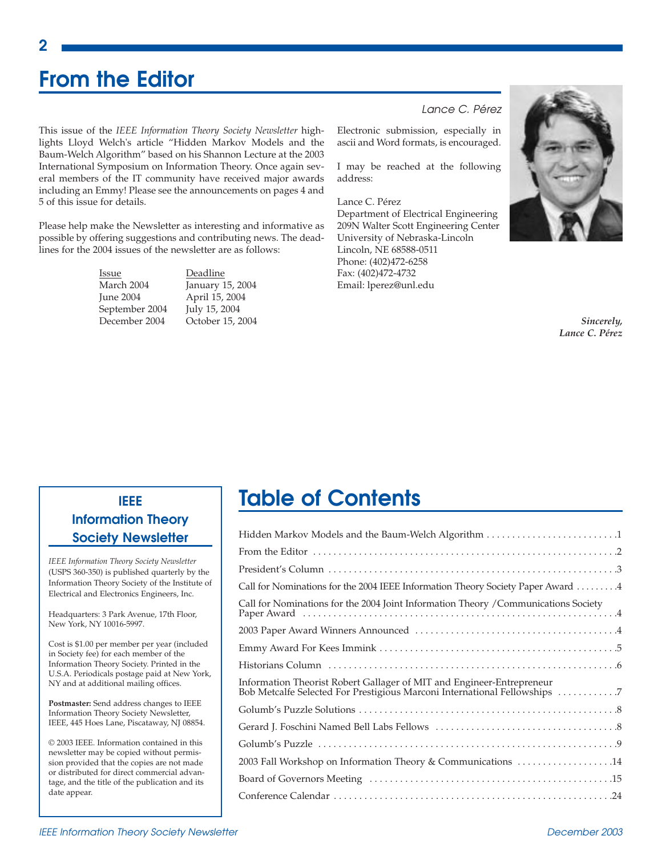## **From the Editor**

This issue of the *IEEE Information Theory Society Newsletter* highlights Lloyd Welch's article "Hidden Markov Models and the Baum-Welch Algorithm" based on his Shannon Lecture at the 2003 International Symposium on Information Theory. Once again several members of the IT community have received major awards including an Emmy! Please see the announcements on pages 4 and 5 of this issue for details.

Please help make the Newsletter as interesting and informative as possible by offering suggestions and contributing news. The deadlines for the 2004 issues of the newsletter are as follows:

> Issue Deadline March 2004 January 15, 2004 June 2004 April 15, 2004 September 2004 July 15, 2004<br>December 2004 October 15, 2

October 15, 2004

#### *Lance C. Pérez*

Electronic submission, especially in ascii and Word formats, is encouraged.

I may be reached at the following address:

Lance C. Pérez Department of Electrical Engineering 209N Walter Scott Engineering Center University of Nebraska-Lincoln Lincoln, NE 68588-0511 Phone: (402)472-6258 Fax: (402)472-4732 Email: lperez@unl.edu



*Sincerely, Lance C. Pérez*

#### **IEEE Information Theory Society Newsletter**

*IEEE Information Theory Society Newsletter* (USPS 360-350) is published quarterly by the Information Theory Society of the Institute of Electrical and Electronics Engineers, Inc.

Headquarters: 3 Park Avenue, 17th Floor, New York, NY 10016-5997.

Cost is \$1.00 per member per year (included in Society fee) for each member of the Information Theory Society. Printed in the U.S.A. Periodicals postage paid at New York, NY and at additional mailing offices.

**Postmaster:** Send address changes to IEEE Information Theory Society Newsletter, IEEE, 445 Hoes Lane, Piscataway, NJ 08854.

© 2003 IEEE. Information contained in this newsletter may be copied without permission provided that the copies are not made or distributed for direct commercial advantage, and the title of the publication and its date appear.

## **Table of Contents**

| Hidden Markov Models and the Baum-Welch Algorithm 1                                                                                                                                                                           |
|-------------------------------------------------------------------------------------------------------------------------------------------------------------------------------------------------------------------------------|
|                                                                                                                                                                                                                               |
|                                                                                                                                                                                                                               |
| Call for Nominations for the 2004 IEEE Information Theory Society Paper Award  4                                                                                                                                              |
| Call for Nominations for the 2004 Joint Information Theory / Communications Society                                                                                                                                           |
|                                                                                                                                                                                                                               |
|                                                                                                                                                                                                                               |
| Historians Column (and the continuum of the column of the column of the column of the column of the column of the column of the column of the column of the column of the column of the column of the column of the column of |
| Information Theorist Robert Gallager of MIT and Engineer-Entrepreneur<br>Bob Metcalfe Selected For Prestigious Marconi International Fellowships 7                                                                            |
|                                                                                                                                                                                                                               |
|                                                                                                                                                                                                                               |
|                                                                                                                                                                                                                               |
| 2003 Fall Workshop on Information Theory & Communications 14                                                                                                                                                                  |
|                                                                                                                                                                                                                               |
|                                                                                                                                                                                                                               |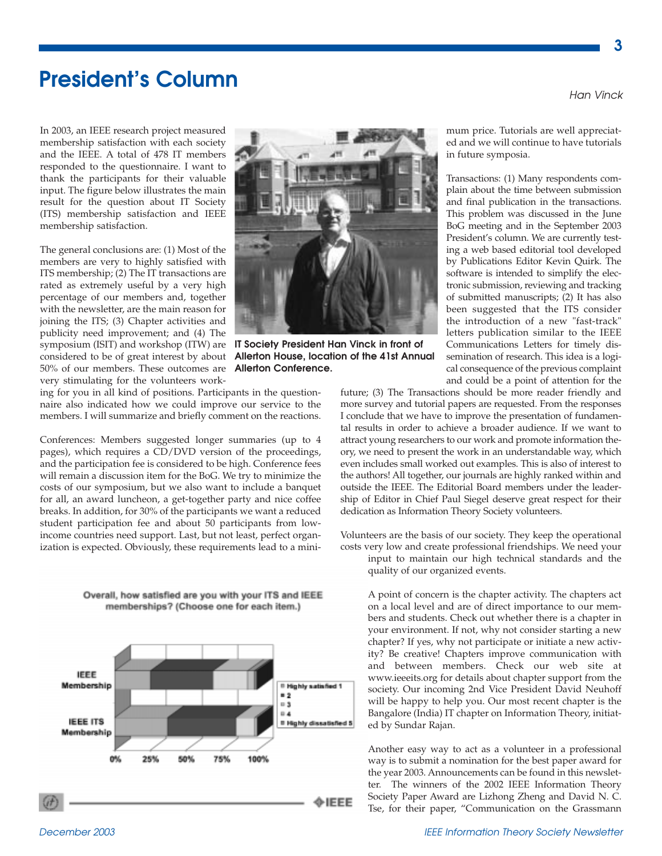## **President's Column**

In 2003, an IEEE research project measured membership satisfaction with each society and the IEEE. A total of 478 IT members responded to the questionnaire. I want to thank the participants for their valuable input. The figure below illustrates the main result for the question about IT Society (ITS) membership satisfaction and IEEE membership satisfaction.

The general conclusions are: (1) Most of the members are very to highly satisfied with ITS membership; (2) The IT transactions are rated as extremely useful by a very high percentage of our members and, together with the newsletter, are the main reason for joining the ITS; (3) Chapter activities and publicity need improvement; and (4) The symposium (ISIT) and workshop (ITW) are considered to be of great interest by about 50% of our members. These outcomes are very stimulating for the volunteers work-

ing for you in all kind of positions. Participants in the questionnaire also indicated how we could improve our service to the members. I will summarize and briefly comment on the reactions.

Conferences: Members suggested longer summaries (up to 4 pages), which requires a CD/DVD version of the proceedings, and the participation fee is considered to be high. Conference fees will remain a discussion item for the BoG. We try to minimize the costs of our symposium, but we also want to include a banquet for all, an award luncheon, a get-together party and nice coffee breaks. In addition, for 30% of the participants we want a reduced student participation fee and about 50 participants from lowincome countries need support. Last, but not least, perfect organization is expected. Obviously, these requirements lead to a mini-

> Overall, how satisfied are you with your ITS and IEEE memberships? (Choose one for each item.)





**IT Society President Han Vinck in front of Allerton House, location of the 41st Annual Allerton Conference.**

mum price. Tutorials are well appreciated and we will continue to have tutorials in future symposia.

Transactions: (1) Many respondents complain about the time between submission and final publication in the transactions. This problem was discussed in the June BoG meeting and in the September 2003 President's column. We are currently testing a web based editorial tool developed by Publications Editor Kevin Quirk. The software is intended to simplify the electronic submission, reviewing and tracking of submitted manuscripts; (2) It has also been suggested that the ITS consider the introduction of a new "fast-track" letters publication similar to the IEEE Communications Letters for timely dissemination of research. This idea is a logical consequence of the previous complaint and could be a point of attention for the

future; (3) The Transactions should be more reader friendly and more survey and tutorial papers are requested. From the responses I conclude that we have to improve the presentation of fundamental results in order to achieve a broader audience. If we want to attract young researchers to our work and promote information theory, we need to present the work in an understandable way, which even includes small worked out examples. This is also of interest to the authors! All together, our journals are highly ranked within and outside the IEEE. The Editorial Board members under the leadership of Editor in Chief Paul Siegel deserve great respect for their dedication as Information Theory Society volunteers.

Volunteers are the basis of our society. They keep the operational costs very low and create professional friendships. We need your

input to maintain our high technical standards and the quality of our organized events.

A point of concern is the chapter activity. The chapters act on a local level and are of direct importance to our members and students. Check out whether there is a chapter in your environment. If not, why not consider starting a new chapter? If yes, why not participate or initiate a new activity? Be creative! Chapters improve communication with and between members. Check our web site at www.ieeeits.org for details about chapter support from the society. Our incoming 2nd Vice President David Neuhoff will be happy to help you. Our most recent chapter is the Bangalore (India) IT chapter on Information Theory, initiated by Sundar Rajan.

Another easy way to act as a volunteer in a professional way is to submit a nomination for the best paper award for the year 2003. Announcements can be found in this newsletter. The winners of the 2002 IEEE Information Theory Society Paper Award are Lizhong Zheng and David N. C. Tse, for their paper, "Communication on the Grassmann

*Han Vinck*

**3**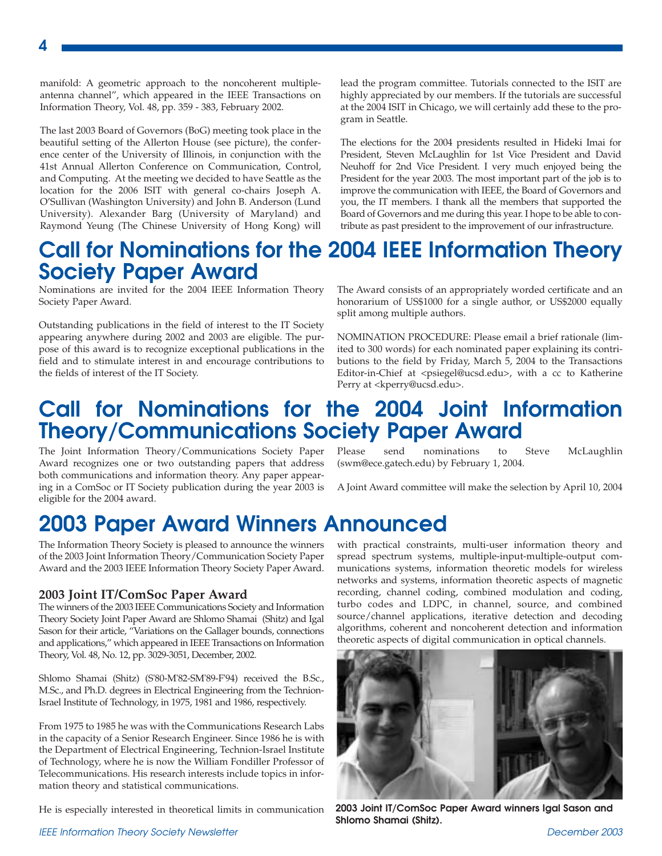manifold: A geometric approach to the noncoherent multipleantenna channel", which appeared in the IEEE Transactions on Information Theory, Vol. 48, pp. 359 - 383, February 2002.

**4**

The last 2003 Board of Governors (BoG) meeting took place in the beautiful setting of the Allerton House (see picture), the conference center of the University of Illinois, in conjunction with the 41st Annual Allerton Conference on Communication, Control, and Computing. At the meeting we decided to have Seattle as the location for the 2006 ISIT with general co-chairs Joseph A. O'Sullivan (Washington University) and John B. Anderson (Lund University). Alexander Barg (University of Maryland) and Raymond Yeung (The Chinese University of Hong Kong) will

lead the program committee. Tutorials connected to the ISIT are highly appreciated by our members. If the tutorials are successful at the 2004 ISIT in Chicago, we will certainly add these to the program in Seattle.

The elections for the 2004 presidents resulted in Hideki Imai for President, Steven McLaughlin for 1st Vice President and David Neuhoff for 2nd Vice President. I very much enjoyed being the President for the year 2003. The most important part of the job is to improve the communication with IEEE, the Board of Governors and you, the IT members. I thank all the members that supported the Board of Governors and me during this year. I hope to be able to contribute as past president to the improvement of our infrastructure.

## **Call for Nominations for the 2004 IEEE Information Theory Society Paper Award**

Nominations are invited for the 2004 IEEE Information Theory Society Paper Award.

Outstanding publications in the field of interest to the IT Society appearing anywhere during 2002 and 2003 are eligible. The purpose of this award is to recognize exceptional publications in the field and to stimulate interest in and encourage contributions to the fields of interest of the IT Society.

The Award consists of an appropriately worded certificate and an honorarium of US\$1000 for a single author, or US\$2000 equally split among multiple authors.

NOMINATION PROCEDURE: Please email a brief rationale (limited to 300 words) for each nominated paper explaining its contributions to the field by Friday, March 5, 2004 to the Transactions Editor-in-Chief at <psiegel@ucsd.edu>, with a cc to Katherine Perry at <kperry@ucsd.edu>.

## **Call for Nominations for the 2004 Joint Information Theory/Communications Society Paper Award**

The Joint Information Theory/Communications Society Paper Award recognizes one or two outstanding papers that address both communications and information theory. Any paper appearing in a ComSoc or IT Society publication during the year 2003 is eligible for the 2004 award.

## **2003 Paper Award Winners Announced**

The Information Theory Society is pleased to announce the winners of the 2003 Joint Information Theory/Communication Society Paper Award and the 2003 IEEE Information Theory Society Paper Award.

#### **2003 Joint IT/ComSoc Paper Award**

The winners of the 2003 IEEE Communications Society and Information Theory Society Joint Paper Award are Shlomo Shamai (Shitz) and Igal Sason for their article, "Variations on the Gallager bounds, connections and applications," which appeared in IEEE Transactions on Information Theory, Vol. 48, No. 12, pp. 3029-3051, December, 2002.

Shlomo Shamai (Shitz) (S'80-M'82-SM'89-F'94) received the B.Sc., M.Sc., and Ph.D. degrees in Electrical Engineering from the Technion-Israel Institute of Technology, in 1975, 1981 and 1986, respectively.

From 1975 to 1985 he was with the Communications Research Labs in the capacity of a Senior Research Engineer. Since 1986 he is with the Department of Electrical Engineering, Technion-Israel Institute of Technology, where he is now the William Fondiller Professor of Telecommunications. His research interests include topics in information theory and statistical communications.

He is especially interested in theoretical limits in communication

Please send nominations to Steve McLaughlin (swm@ece.gatech.edu) by February 1, 2004.

A Joint Award committee will make the selection by April 10, 2004

with practical constraints, multi-user information theory and spread spectrum systems, multiple-input-multiple-output communications systems, information theoretic models for wireless networks and systems, information theoretic aspects of magnetic recording, channel coding, combined modulation and coding, turbo codes and LDPC, in channel, source, and combined source/channel applications, iterative detection and decoding algorithms, coherent and noncoherent detection and information theoretic aspects of digital communication in optical channels.



**2003 Joint IT/ComSoc Paper Award winners Igal Sason and Shlomo Shamai (Shitz).**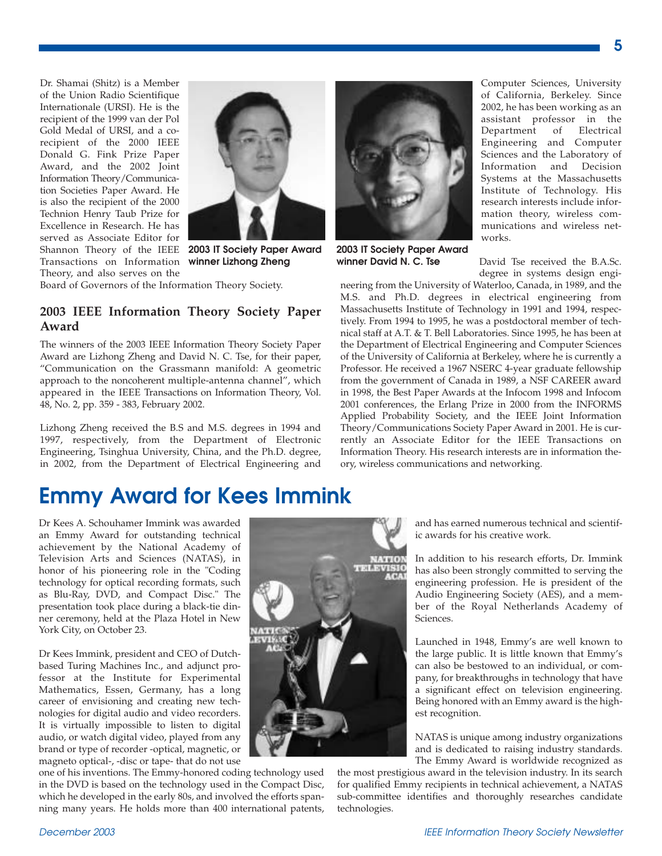Dr. Shamai (Shitz) is a Member of the Union Radio Scientifique Internationale (URSI). He is the recipient of the 1999 van der Pol Gold Medal of URSI, and a corecipient of the 2000 IEEE Donald G. Fink Prize Paper Award, and the 2002 Joint Information Theory/Communication Societies Paper Award. He is also the recipient of the 2000 Technion Henry Taub Prize for Excellence in Research. He has served as Associate Editor for Shannon Theory of the IEEE Transactions on Information Theory, and also serves on the



**2003 IT Society Paper Award winner Lizhong Zheng**

Board of Governors of the Information Theory Society.

#### **2003 IEEE Information Theory Society Paper Award**

The winners of the 2003 IEEE Information Theory Society Paper Award are Lizhong Zheng and David N. C. Tse, for their paper, "Communication on the Grassmann manifold: A geometric approach to the noncoherent multiple-antenna channel", which appeared in the IEEE Transactions on Information Theory, Vol. 48, No. 2, pp. 359 - 383, February 2002.

Lizhong Zheng received the B.S and M.S. degrees in 1994 and 1997, respectively, from the Department of Electronic Engineering, Tsinghua University, China, and the Ph.D. degree, in 2002, from the Department of Electrical Engineering and

## **Emmy Award for Kees Immink**

Dr Kees A. Schouhamer Immink was awarded an Emmy Award for outstanding technical achievement by the National Academy of Television Arts and Sciences (NATAS), in honor of his pioneering role in the "Coding technology for optical recording formats, such as Blu-Ray, DVD, and Compact Disc." The presentation took place during a black-tie dinner ceremony, held at the Plaza Hotel in New York City, on October 23.

Dr Kees Immink, president and CEO of Dutchbased Turing Machines Inc., and adjunct professor at the Institute for Experimental Mathematics, Essen, Germany, has a long career of envisioning and creating new technologies for digital audio and video recorders. It is virtually impossible to listen to digital audio, or watch digital video, played from any brand or type of recorder -optical, magnetic, or magneto optical-, -disc or tape- that do not use

one of his inventions. The Emmy-honored coding technology used in the DVD is based on the technology used in the Compact Disc, which he developed in the early 80s, and involved the efforts spanning many years. He holds more than 400 international patents,



Computer Sciences, University of California, Berkeley. Since 2002, he has been working as an assistant professor in the Department of Electrical Engineering and Computer Sciences and the Laboratory of Information and Decision Systems at the Massachusetts Institute of Technology. His research interests include information theory, wireless communications and wireless networks.

David Tse received the B.A.Sc. degree in systems design engi-

neering from the University of Waterloo, Canada, in 1989, and the M.S. and Ph.D. degrees in electrical engineering from Massachusetts Institute of Technology in 1991 and 1994, respectively. From 1994 to 1995, he was a postdoctoral member of technical staff at A.T. & T. Bell Laboratories. Since 1995, he has been at the Department of Electrical Engineering and Computer Sciences of the University of California at Berkeley, where he is currently a Professor. He received a 1967 NSERC 4-year graduate fellowship from the government of Canada in 1989, a NSF CAREER award in 1998, the Best Paper Awards at the Infocom 1998 and Infocom 2001 conferences, the Erlang Prize in 2000 from the INFORMS Applied Probability Society, and the IEEE Joint Information Theory/Communications Society Paper Award in 2001. He is currently an Associate Editor for the IEEE Transactions on Information Theory. His research interests are in information theory, wireless communications and networking.

**2003 IT Society Paper Award winner David N. C. Tse**

> and has earned numerous technical and scientific awards for his creative work.

> In addition to his research efforts, Dr. Immink has also been strongly committed to serving the engineering profession. He is president of the Audio Engineering Society (AES), and a member of the Royal Netherlands Academy of Sciences.

> Launched in 1948, Emmy's are well known to the large public. It is little known that Emmy's can also be bestowed to an individual, or company, for breakthroughs in technology that have a significant effect on television engineering. Being honored with an Emmy award is the highest recognition.

> NATAS is unique among industry organizations and is dedicated to raising industry standards. The Emmy Award is worldwide recognized as

the most prestigious award in the television industry. In its search for qualified Emmy recipients in technical achievement, a NATAS sub-committee identifies and thoroughly researches candidate technologies.

**5**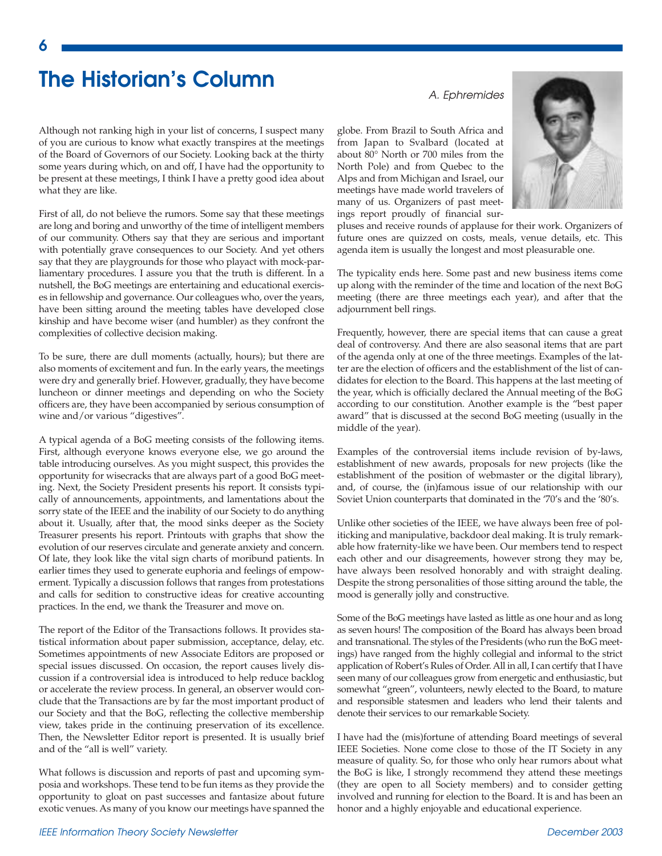## **The Historian's Column**

Although not ranking high in your list of concerns, I suspect many of you are curious to know what exactly transpires at the meetings of the Board of Governors of our Society. Looking back at the thirty some years during which, on and off, I have had the opportunity to be present at these meetings, I think I have a pretty good idea about what they are like.

First of all, do not believe the rumors. Some say that these meetings are long and boring and unworthy of the time of intelligent members of our community. Others say that they are serious and important with potentially grave consequences to our Society. And yet others say that they are playgrounds for those who playact with mock-parliamentary procedures. I assure you that the truth is different. In a nutshell, the BoG meetings are entertaining and educational exercises in fellowship and governance. Our colleagues who, over the years, have been sitting around the meeting tables have developed close kinship and have become wiser (and humbler) as they confront the complexities of collective decision making.

To be sure, there are dull moments (actually, hours); but there are also moments of excitement and fun. In the early years, the meetings were dry and generally brief. However, gradually, they have become luncheon or dinner meetings and depending on who the Society officers are, they have been accompanied by serious consumption of wine and/or various "digestives".

A typical agenda of a BoG meeting consists of the following items. First, although everyone knows everyone else, we go around the table introducing ourselves. As you might suspect, this provides the opportunity for wisecracks that are always part of a good BoG meeting. Next, the Society President presents his report. It consists typically of announcements, appointments, and lamentations about the sorry state of the IEEE and the inability of our Society to do anything about it. Usually, after that, the mood sinks deeper as the Society Treasurer presents his report. Printouts with graphs that show the evolution of our reserves circulate and generate anxiety and concern. Of late, they look like the vital sign charts of moribund patients. In earlier times they used to generate euphoria and feelings of empowerment. Typically a discussion follows that ranges from protestations and calls for sedition to constructive ideas for creative accounting practices. In the end, we thank the Treasurer and move on.

The report of the Editor of the Transactions follows. It provides statistical information about paper submission, acceptance, delay, etc. Sometimes appointments of new Associate Editors are proposed or special issues discussed. On occasion, the report causes lively discussion if a controversial idea is introduced to help reduce backlog or accelerate the review process. In general, an observer would conclude that the Transactions are by far the most important product of our Society and that the BoG, reflecting the collective membership view, takes pride in the continuing preservation of its excellence. Then, the Newsletter Editor report is presented. It is usually brief and of the "all is well" variety.

What follows is discussion and reports of past and upcoming symposia and workshops. These tend to be fun items as they provide the opportunity to gloat on past successes and fantasize about future exotic venues. As many of you know our meetings have spanned the globe. From Brazil to South Africa and from Japan to Svalbard (located at about 80° North or 700 miles from the North Pole) and from Quebec to the Alps and from Michigan and Israel, our meetings have made world travelers of many of us. Organizers of past meetings report proudly of financial sur-



pluses and receive rounds of applause for their work. Organizers of future ones are quizzed on costs, meals, venue details, etc. This agenda item is usually the longest and most pleasurable one.

The typicality ends here. Some past and new business items come up along with the reminder of the time and location of the next BoG meeting (there are three meetings each year), and after that the adjournment bell rings.

Frequently, however, there are special items that can cause a great deal of controversy. And there are also seasonal items that are part of the agenda only at one of the three meetings. Examples of the latter are the election of officers and the establishment of the list of candidates for election to the Board. This happens at the last meeting of the year, which is officially declared the Annual meeting of the BoG according to our constitution. Another example is the "best paper award" that is discussed at the second BoG meeting (usually in the middle of the year).

Examples of the controversial items include revision of by-laws, establishment of new awards, proposals for new projects (like the establishment of the position of webmaster or the digital library), and, of course, the (in)famous issue of our relationship with our Soviet Union counterparts that dominated in the '70's and the '80's.

Unlike other societies of the IEEE, we have always been free of politicking and manipulative, backdoor deal making. It is truly remarkable how fraternity-like we have been. Our members tend to respect each other and our disagreements, however strong they may be, have always been resolved honorably and with straight dealing. Despite the strong personalities of those sitting around the table, the mood is generally jolly and constructive.

Some of the BoG meetings have lasted as little as one hour and as long as seven hours! The composition of the Board has always been broad and transnational. The styles of the Presidents (who run the BoG meetings) have ranged from the highly collegial and informal to the strict application of Robert's Rules of Order. All in all, I can certify that I have seen many of our colleagues grow from energetic and enthusiastic, but somewhat "green", volunteers, newly elected to the Board, to mature and responsible statesmen and leaders who lend their talents and denote their services to our remarkable Society.

I have had the (mis)fortune of attending Board meetings of several IEEE Societies. None come close to those of the IT Society in any measure of quality. So, for those who only hear rumors about what the BoG is like, I strongly recommend they attend these meetings (they are open to all Society members) and to consider getting involved and running for election to the Board. It is and has been an honor and a highly enjoyable and educational experience.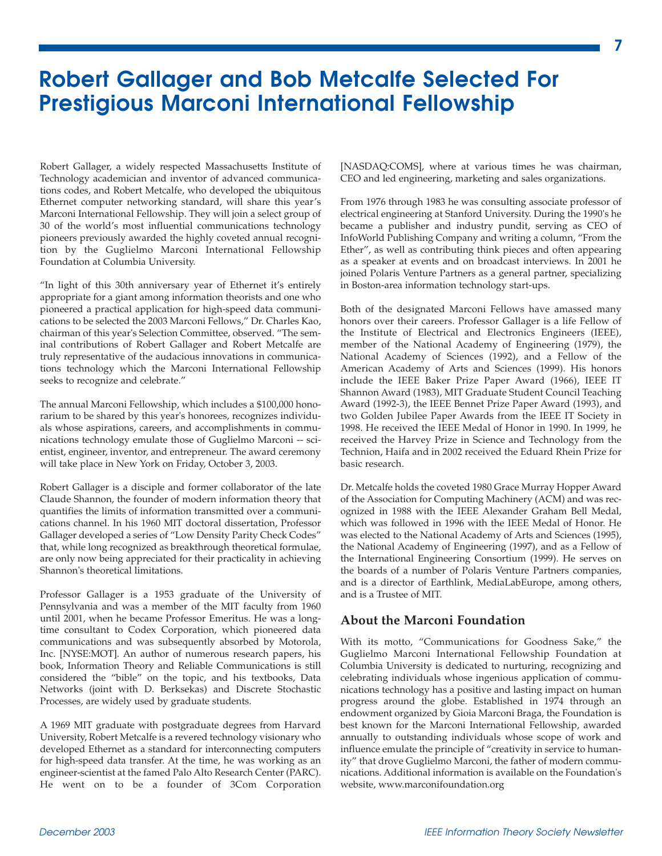## **Robert Gallager and Bob Metcalfe Selected For Prestigious Marconi International Fellowship**

Robert Gallager, a widely respected Massachusetts Institute of Technology academician and inventor of advanced communications codes, and Robert Metcalfe, who developed the ubiquitous Ethernet computer networking standard, will share this year's Marconi International Fellowship. They will join a select group of 30 of the world's most influential communications technology pioneers previously awarded the highly coveted annual recognition by the Guglielmo Marconi International Fellowship Foundation at Columbia University.

"In light of this 30th anniversary year of Ethernet it's entirely appropriate for a giant among information theorists and one who pioneered a practical application for high-speed data communications to be selected the 2003 Marconi Fellows," Dr. Charles Kao, chairman of this year's Selection Committee, observed. "The seminal contributions of Robert Gallager and Robert Metcalfe are truly representative of the audacious innovations in communications technology which the Marconi International Fellowship seeks to recognize and celebrate."

The annual Marconi Fellowship, which includes a \$100,000 honorarium to be shared by this year's honorees, recognizes individuals whose aspirations, careers, and accomplishments in communications technology emulate those of Guglielmo Marconi -- scientist, engineer, inventor, and entrepreneur. The award ceremony will take place in New York on Friday, October 3, 2003.

Robert Gallager is a disciple and former collaborator of the late Claude Shannon, the founder of modern information theory that quantifies the limits of information transmitted over a communications channel. In his 1960 MIT doctoral dissertation, Professor Gallager developed a series of "Low Density Parity Check Codes" that, while long recognized as breakthrough theoretical formulae, are only now being appreciated for their practicality in achieving Shannon's theoretical limitations.

Professor Gallager is a 1953 graduate of the University of Pennsylvania and was a member of the MIT faculty from 1960 until 2001, when he became Professor Emeritus. He was a longtime consultant to Codex Corporation, which pioneered data communications and was subsequently absorbed by Motorola, Inc. [NYSE:MOT]. An author of numerous research papers, his book, Information Theory and Reliable Communications is still considered the "bible" on the topic, and his textbooks, Data Networks (joint with D. Berksekas) and Discrete Stochastic Processes, are widely used by graduate students.

A 1969 MIT graduate with postgraduate degrees from Harvard University, Robert Metcalfe is a revered technology visionary who developed Ethernet as a standard for interconnecting computers for high-speed data transfer. At the time, he was working as an engineer-scientist at the famed Palo Alto Research Center (PARC). He went on to be a founder of 3Com Corporation

[NASDAQ:COMS], where at various times he was chairman, CEO and led engineering, marketing and sales organizations.

From 1976 through 1983 he was consulting associate professor of electrical engineering at Stanford University. During the 1990's he became a publisher and industry pundit, serving as CEO of InfoWorld Publishing Company and writing a column, "From the Ether", as well as contributing think pieces and often appearing as a speaker at events and on broadcast interviews. In 2001 he joined Polaris Venture Partners as a general partner, specializing in Boston-area information technology start-ups.

Both of the designated Marconi Fellows have amassed many honors over their careers. Professor Gallager is a life Fellow of the Institute of Electrical and Electronics Engineers (IEEE), member of the National Academy of Engineering (1979), the National Academy of Sciences (1992), and a Fellow of the American Academy of Arts and Sciences (1999). His honors include the IEEE Baker Prize Paper Award (1966), IEEE IT Shannon Award (1983), MIT Graduate Student Council Teaching Award (1992-3), the IEEE Bennet Prize Paper Award (1993), and two Golden Jubilee Paper Awards from the IEEE IT Society in 1998. He received the IEEE Medal of Honor in 1990. In 1999, he received the Harvey Prize in Science and Technology from the Technion, Haifa and in 2002 received the Eduard Rhein Prize for basic research.

Dr. Metcalfe holds the coveted 1980 Grace Murray Hopper Award of the Association for Computing Machinery (ACM) and was recognized in 1988 with the IEEE Alexander Graham Bell Medal, which was followed in 1996 with the IEEE Medal of Honor. He was elected to the National Academy of Arts and Sciences (1995), the National Academy of Engineering (1997), and as a Fellow of the International Engineering Consortium (1999). He serves on the boards of a number of Polaris Venture Partners companies, and is a director of Earthlink, MediaLabEurope, among others, and is a Trustee of MIT.

#### **About the Marconi Foundation**

With its motto, "Communications for Goodness Sake," the Guglielmo Marconi International Fellowship Foundation at Columbia University is dedicated to nurturing, recognizing and celebrating individuals whose ingenious application of communications technology has a positive and lasting impact on human progress around the globe. Established in 1974 through an endowment organized by Gioia Marconi Braga, the Foundation is best known for the Marconi International Fellowship, awarded annually to outstanding individuals whose scope of work and influence emulate the principle of "creativity in service to humanity" that drove Guglielmo Marconi, the father of modern communications. Additional information is available on the Foundation's website, www.marconifoundation.org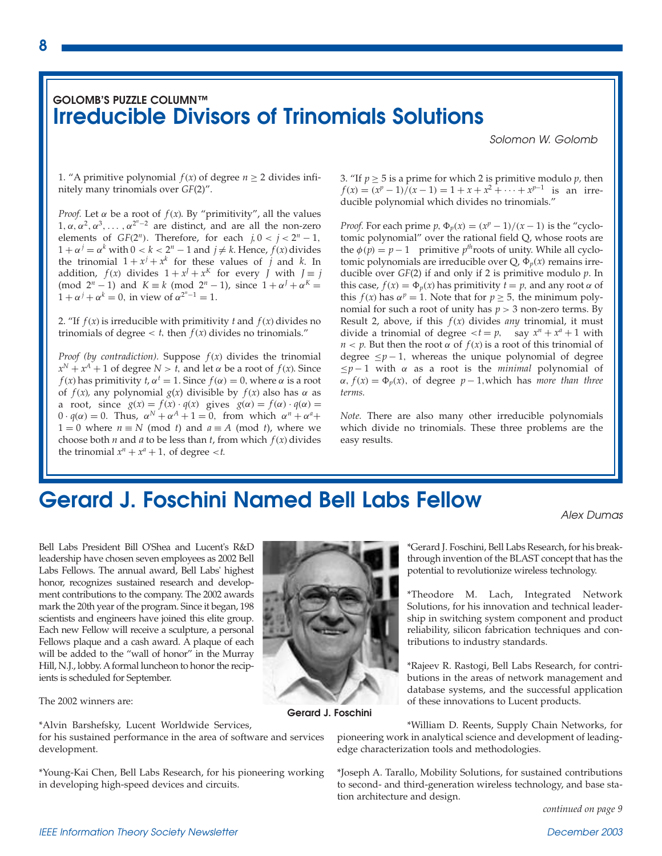#### **GOLOMB'S PUZZLE COLUMN™ Irreducible Divisors of Trinomials Solutions**

*Solomon W. Golomb*

1. "A primitive polynomial *f*(*x*) of degree  $n \ge 2$  divides infinitely many trinomials over *GF*(2)".

*Proof.* Let  $\alpha$  be a root of  $f(x)$ . By "primitivity", all the values  $1, \alpha, \alpha^2, \alpha^3, \ldots, \alpha^{2^n-2}$  are distinct, and are all the non-zero elements of *GF*(2<sup>*n*</sup>). Therefore, for each  $j, 0 < j < 2<sup>n</sup> - 1$ ,  $1 + \alpha^j = \alpha^k$  with  $0 < k < 2^n - 1$  and  $j \neq k$ . Hence,  $f(x)$  divides the trinomial  $1 + x^j + x^k$  for these values of *j* and *k*. In addition,  $f(x)$  divides  $1 + x^{J} + x^{K}$  for every *J* with  $J \equiv j$ (mod  $2^n - 1$ ) and  $K \equiv k \pmod{2^n - 1}$ , since  $1 + \alpha^f + \alpha^K =$  $1 + \alpha^{j} + \alpha^{k} = 0$ , in view of  $\alpha^{2^{n}-1} = 1$ .

2. "If  $f(x)$  is irreducible with primitivity  $t$  and  $f(x)$  divides no trinomials of degree  $lt$  *t*, then  $f(x)$  divides no trinomials."

*Proof (by contradiction).* Suppose  $f(x)$  divides the trinomial  $x^N + x^A + 1$  of degree  $N > t$ , and let  $\alpha$  be a root of  $f(x)$ . Since *f*(*x*) has primitivity *t*,  $\alpha^t = 1$ . Since  $f(\alpha) = 0$ , where  $\alpha$  is a root of  $f(x)$ , any polynomial  $g(x)$  divisible by  $f(x)$  also has  $\alpha$  as a root, since  $g(x) = f(x) \cdot q(x)$  gives  $g(\alpha) = f(\alpha) \cdot q(\alpha) =$  $0 \cdot q(\alpha) = 0$ . Thus,  $\alpha^N + \alpha^A + 1 = 0$ , from which  $\alpha^n + \alpha^n +$ 1 = 0 where  $n \equiv N \pmod{t}$  and  $a \equiv A \pmod{t}$ , where we choose both *n* and *a* to be less than *t*, from which  $f(x)$  divides the trinomial  $x^n + x^a + 1$ , of degree <*t*.

3. "If  $p \ge 5$  is a prime for which 2 is primitive modulo  $p$ , then  $f(x) = (x^p - 1)/(x - 1) = 1 + x + x^2 + \cdots + x^{p-1}$  is an irreducible polynomial which divides no trinomials."

*Proof.* For each prime  $p$ ,  $\Phi_p(x) = \frac{x^p - 1}{x - 1}$  is the "cyclotomic polynomial" over the rational field Q, whose roots are the  $\phi(p) = p - 1$  primitive *p<sup>th</sup>roots* of unity. While all cyclotomic polynomials are irreducible over  $Q$ ,  $\Phi_p(x)$  remains irreducible over *GF*(2) if and only if 2 is primitive modulo *p*. In this case,  $f(x) = \Phi_p(x)$  has primitivity  $t = p$ , and any root  $\alpha$  of this *f*(*x*) has  $\alpha$ <sup>*p*</sup> = 1. Note that for *p*  $\geq$  5, the minimum polynomial for such a root of unity has  $p > 3$  non-zero terms. By Result 2, above, if this *f*(*x*) divides *any* trinomial, it must divide a trinomial of degree  $, say  $x^n + x^a + 1$  with$ *n* < *p*. But then the root  $\alpha$  of  $f(x)$  is a root of this trinomial of degree  $\leq p-1$ , whereas the unique polynomial of degree  $\leq p-1$  with  $\alpha$  as a root is the *minimal* polynomial of  $\alpha$ ,  $f(x) = \Phi_p(x)$ , of degree  $p-1$ , which has *more than three terms.*

*Note.* There are also many other irreducible polynomials which divide no trinomials. These three problems are the easy results.

## **Gerard J. Foschini Named Bell Labs Fellow**

*Alex Dumas*

Bell Labs President Bill O'Shea and Lucent's R&D leadership have chosen seven employees as 2002 Bell Labs Fellows. The annual award, Bell Labs' highest honor, recognizes sustained research and development contributions to the company. The 2002 awards mark the 20th year of the program. Since it began, 198 scientists and engineers have joined this elite group. Each new Fellow will receive a sculpture, a personal Fellows plaque and a cash award. A plaque of each will be added to the "wall of honor" in the Murray Hill, N.J., lobby. Aformal luncheon to honor the recipients is scheduled for September.

The 2002 winners are:

\*Alvin Barshefsky, Lucent Worldwide Services,

for his sustained performance in the area of software and services development.

\*Young-Kai Chen, Bell Labs Research, for his pioneering working in developing high-speed devices and circuits.



**Gerard J. Foschini**

\*Gerard J. Foschini, Bell Labs Research, for his breakthrough invention of the BLAST concept that has the potential to revolutionize wireless technology.

\*Theodore M. Lach, Integrated Network Solutions, for his innovation and technical leadership in switching system component and product reliability, silicon fabrication techniques and contributions to industry standards.

\*Rajeev R. Rastogi, Bell Labs Research, for contributions in the areas of network management and database systems, and the successful application of these innovations to Lucent products.

\*William D. Reents, Supply Chain Networks, for pioneering work in analytical science and development of leadingedge characterization tools and methodologies.

\*Joseph A. Tarallo, Mobility Solutions, for sustained contributions to second- and third-generation wireless technology, and base station architecture and design.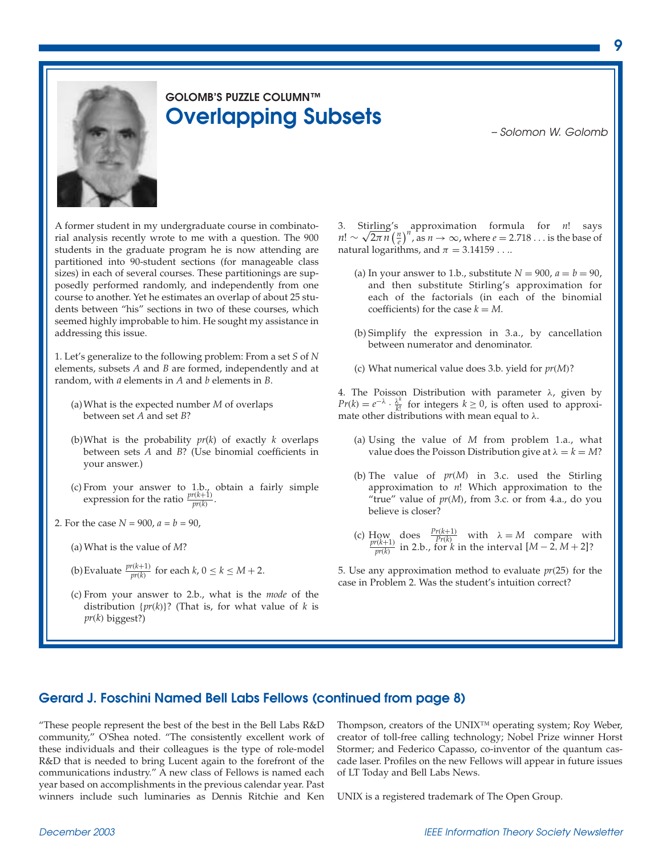

## **GOLOMB'S PUZZLE COLUMN™ Overlapping Subsets** *– Solomon W. Golomb*

A former student in my undergraduate course in combinatorial analysis recently wrote to me with a question. The 900 students in the graduate program he is now attending are partitioned into 90-student sections (for manageable class sizes) in each of several courses. These partitionings are supposedly performed randomly, and independently from one course to another. Yet he estimates an overlap of about 25 students between "his" sections in two of these courses, which seemed highly improbable to him. He sought my assistance in addressing this issue.

1. Let's generalize to the following problem: From a set *S* of *N* elements, subsets *A* and *B* are formed, independently and at random, with *a* elements in *A* and *b* elements in *B*.

- (a)What is the expected number *M* of overlaps between set *A* and set *B*?
- (b)What is the probability *pr*(*k*) of exactly *k* overlaps between sets *A* and *B*? (Use binomial coefficients in your answer.)
- (c) From your answer to 1.b., obtain a fairly simple expression for the ratio  $\frac{pr(k+1)}{pr(k)}$ .
- 2. For the case  $N = 900$ ,  $a = b = 90$ ,
	- (a) What is the value of *M*?
	- (b) Evaluate  $\frac{pr(k+1)}{pr(k)}$  for each  $k, 0 \le k \le M+2$ .
	- (c) From your answer to 2.b., what is the *mode* of the distribution {*pr*(*k*)}? (That is, for what value of *k* is *pr*(*k*) biggest?)

3. Stirling's approximation formula for *n*! says  $n! \sim \sqrt{2\pi n} \left(\frac{n}{e}\right)^n$ , as  $n \to \infty$ , where  $e = 2.718...$  is the base of natural logarithms, and  $\pi = 3.14159...$ 

- (a) In your answer to 1.b., substitute  $N = 900$ ,  $a = b = 90$ , and then substitute Stirling's approximation for each of the factorials (in each of the binomial coefficients) for the case  $k = M$ .
- (b) Simplify the expression in 3.a., by cancellation between numerator and denominator.
- (c) What numerical value does 3.b. yield for *pr*(*M*)?

4. The Poisson Distribution with parameter λ, given by  $Pr(k) = e^{-\lambda} \cdot \frac{\lambda^k}{k!}$  for integers  $k \ge 0$ , is often used to approximate other distributions with mean equal to  $\lambda$ .

- (a) Using the value of *M* from problem 1.a., what value does the Poisson Distribution give at  $\lambda = k = M$ ?
- (b) The value of *pr*(*M*) in 3.c. used the Stirling approximation to *n*! Which approximation to the "true" value of *pr*(*M*), from 3.c. or from 4.a., do you believe is closer?
- (c) How does  $\frac{Pr(k+1)}{Pr(k)}$  with  $\lambda = M$  compare with  $\frac{pr(k+1)}{pr(k)}$  in 2.b., for *k* in the interval  $[M-2, M+2]$ ?

5. Use any approximation method to evaluate *pr*(25) for the case in Problem 2. Was the student's intuition correct?

#### **Gerard J. Foschini Named Bell Labs Fellows (continued from page 8)**

"These people represent the best of the best in the Bell Labs R&D community," O'Shea noted. "The consistently excellent work of these individuals and their colleagues is the type of role-model R&D that is needed to bring Lucent again to the forefront of the communications industry." A new class of Fellows is named each year based on accomplishments in the previous calendar year. Past winners include such luminaries as Dennis Ritchie and Ken

Thompson, creators of the UNIX™ operating system; Roy Weber, creator of toll-free calling technology; Nobel Prize winner Horst Stormer; and Federico Capasso, co-inventor of the quantum cascade laser. Profiles on the new Fellows will appear in future issues of LT Today and Bell Labs News.

UNIX is a registered trademark of The Open Group.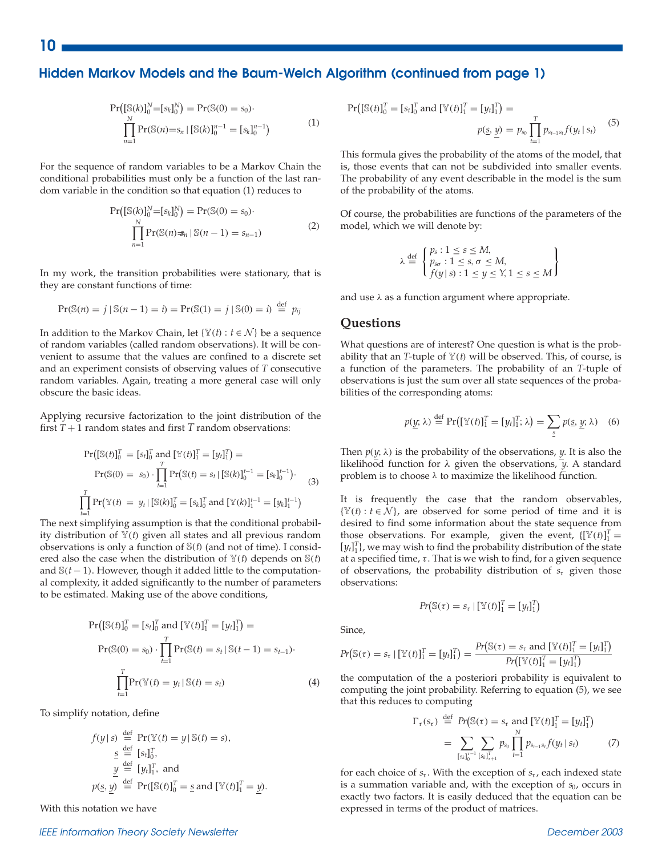#### **Hidden Markov Models and the Baum-Welch Algorithm (continued from page 1)**

$$
\Pr([S(k)]_0^N = [s_k]_0^N) = \Pr(S(0) = s_0) \cdot \prod_{n=1}^N \Pr(S(n) = s_n | [S(k)]_0^{n-1} = [s_k]_0^{n-1})
$$
\n(1)

For the sequence of random variables to be a Markov Chain the conditional probabilities must only be a function of the last random variable in the condition so that equation (1) reduces to

$$
\Pr\left(\left[\mathbb{S}(k)\right]_0^N = \left[s_k\right]_0^N\right) = \Pr(\mathbb{S}(0) = s_0).
$$
\n
$$
\prod_{n=1}^N \Pr(\mathbb{S}(n) = s_n | \mathbb{S}(n-1) = s_{n-1})
$$
\n(2)

In my work, the transition probabilities were stationary, that is they are constant functions of time:

$$
Pr(\mathbb{S}(n) = j \mid \mathbb{S}(n-1) = i) = Pr(\mathbb{S}(1) = j \mid \mathbb{S}(0) = i) \stackrel{\text{def}}{=} p_{ij}
$$

In addition to the Markov Chain, let { $\mathbb{Y}(t): t \in \mathcal{N}$ } be a sequence of random variables (called random observations). It will be convenient to assume that the values are confined to a discrete set and an experiment consists of observing values of *T* consecutive random variables. Again, treating a more general case will only obscure the basic ideas.

Applying recursive factorization to the joint distribution of the first  $T + 1$  random states and first  $T$  random observations:

$$
\Pr\left(\left[\mathbb{S}(t)\right]_0^T = [s_t]_0^T \text{ and } [\mathbb{Y}(t)]_1^T = [y_t]_1^T\right) =
$$
\n
$$
\Pr(\mathbb{S}(0) = s_0) \cdot \prod_{t=1}^T \Pr\left(\mathbb{S}(t) = s_t \mid [\mathbb{S}(k)]_0^{t-1} = [s_k]_0^{t-1}\right).
$$
\n
$$
\prod_{t=1}^T \Pr(\mathbb{Y}(t) = y_t \mid [\mathbb{S}(k)]_0^T = [s_k]_0^T \text{ and } [\mathbb{Y}(k)]_1^{t-1} = [y_k]_1^{t-1}
$$
\n(3)

The next simplifying assumption is that the conditional probability distribution of  $\mathbb{Y}(t)$  given all states and all previous random observations is only a function of S(*t*) (and not of time). I considered also the case when the distribution of  $\mathbb{Y}(t)$  depends on  $\mathbb{S}(t)$ and S(*t* − 1). However, though it added little to the computational complexity, it added significantly to the number of parameters to be estimated. Making use of the above conditions,

$$
Pr([S(t)]_0^T = [s_t]_0^T \text{ and } [Y(t)]_1^T = [y_t]_1^T) =
$$
  
\n
$$
Pr(S(0) = s_0) \cdot \prod_{t=1}^T Pr(S(t) = s_t | S(t-1) = s_{t-1}).
$$
  
\n
$$
\prod_{t=1}^T Pr(Y(t) = y_t | S(t) = s_t)
$$
\n(4)

To simplify notation, define

$$
f(y \mid s) \stackrel{\text{def}}{=} \Pr(\mathbb{Y}(t) = y \mid \mathbb{S}(t) = s),
$$
  
\n
$$
\stackrel{\text{def}}{=} [s_t]_0^T,
$$
  
\n
$$
\stackrel{y}{y} \stackrel{\text{def}}{=} [y_t]_1^T, \text{ and}
$$
  
\n
$$
p(\underline{s}, \underline{y}) \stackrel{\text{def}}{=} \Pr([\mathbb{S}(t)]_0^T = \underline{s} \text{ and } [\mathbb{Y}(t)]_1^T = \underline{y}).
$$

With this notation we have

#### *IEEE Information Theory Society Newsletter December 2003*

$$
Pr([S(t)]_0^T = [s_t]_0^T \text{ and } [\mathbb{Y}(t)]_1^T = [y_t]_1^T) =
$$
  

$$
p(\underline{s}, \underline{y}) = p_{s_0} \prod_{t=1}^T p_{s_{t-1}s_t} f(y_t | s_t)
$$
(5)

This formula gives the probability of the atoms of the model, that is, those events that can not be subdivided into smaller events. The probability of any event describable in the model is the sum of the probability of the atoms.

Of course, the probabilities are functions of the parameters of the model, which we will denote by:

$$
\lambda \stackrel{\text{def}}{=} \begin{cases} p_s: 1 \le s \le M, \\ p_{s\sigma}: 1 \le s, \sigma \le M, \\ f(y \mid s): 1 \le y \le Y, 1 \le s \le M \end{cases}
$$

and use  $\lambda$  as a function argument where appropriate.

#### **Questions**

What questions are of interest? One question is what is the probability that an *T*-tuple of  $Y(t)$  will be observed. This, of course, is a function of the parameters. The probability of an *T*-tuple of observations is just the sum over all state sequences of the probabilities of the corresponding atoms:

$$
p(\underline{y};\lambda) \stackrel{\text{def}}{=} \Pr\big([\mathbb{Y}(t)]_1^T = [y_t]_1^T; \lambda\big) = \sum_{\underline{s}} p(\underline{s}, \underline{y}; \lambda) \quad (6)
$$

Then  $p(y; \lambda)$  is the probability of the observations, *y*. It is also the likelihood function for  $\lambda$  given the observations,  $\overline{y}$ . A standard problem is to choose  $\lambda$  to maximize the likelihood function.

It is frequently the case that the random observables,  $\{Y(t): t \in \mathcal{N}\}\)$ , are observed for some period of time and it is desired to find some information about the state sequence from those observations. For example, given the event,  $\{[\mathbb{Y}(t)]_1^T =$  $[y_t]_1^T$ , we may wish to find the probability distribution of the state at a specified time,  $\tau$ . That is we wish to find, for a given sequence of observations, the probability distribution of  $s<sub>τ</sub>$  given those observations:

$$
Pr(\mathbb{S}(\tau) = s_{\tau} | [\mathbb{Y}(t)]_1^T = [y_t]_1^T)
$$

Since,

$$
Pr(S(\tau) = s_{\tau} | [\mathbb{Y}(t)]_1^T = [y_t]_1^T) = \frac{Pr(S(\tau) = s_{\tau} \text{ and } [\mathbb{Y}(t)]_1^T = [y_t]_1^T)}{Pr([\mathbb{Y}(t)]_1^T = [y_t]_1^T)}
$$

the computation of the a posteriori probability is equivalent to computing the joint probability. Referring to equation (5), we see that this reduces to computing

$$
\Gamma_{\tau}(s_{\tau}) \stackrel{\text{def}}{=} Pr(\mathbb{S}(\tau) = s_{\tau} \text{ and } [\mathbb{Y}(t)]_1^T = [y_t]_1^T)
$$
\n
$$
= \sum_{[s_t]_0^{\tau-1}} \sum_{[s_t]_{t+1}^T} p_{s_0} \prod_{t=1}^N p_{s_{t-1}s_t} f(y_t \mid s_t) \tag{7}
$$

for each choice of  $s_t$ . With the exception of  $s_t$ , each indexed state is a summation variable and, with the exception of *s*0, occurs in exactly two factors. It is easily deduced that the equation can be expressed in terms of the product of matrices.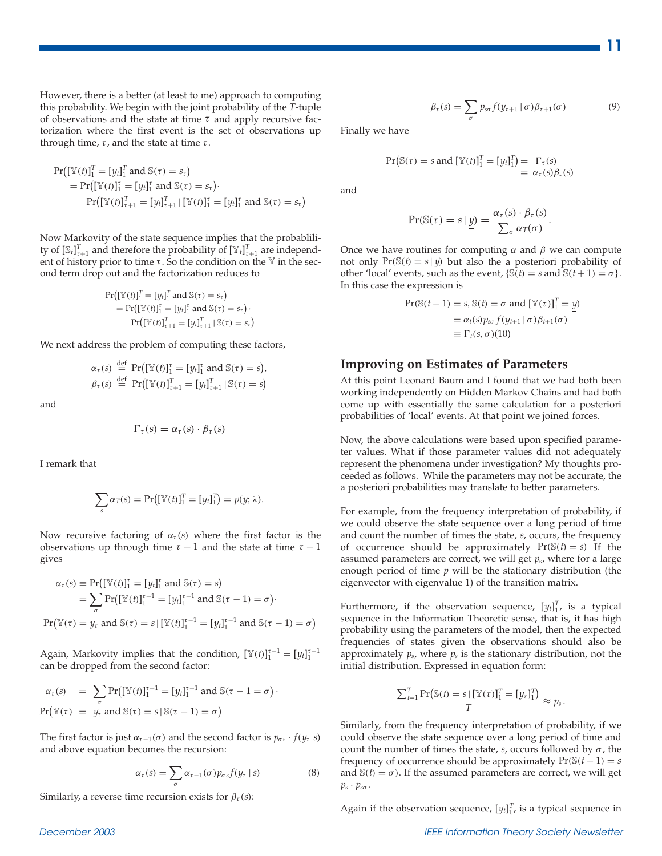However, there is a better (at least to me) approach to computing this probability. We begin with the joint probability of the *T*-tuple of observations and the state at time  $\tau$  and apply recursive factorization where the first event is the set of observations up through time,  $\tau$ , and the state at time  $\tau$ .

$$
Pr([\mathbb{Y}(t)]_1^T = [y_t]_1^T \text{ and } \mathbb{S}(\tau) = s_\tau)
$$
  
= 
$$
Pr([\mathbb{Y}(t)]_1^{\tau} = [y_t]_1^{\tau} \text{ and } \mathbb{S}(\tau) = s_\tau).
$$
  

$$
Pr([\mathbb{Y}(t)]_{\tau+1}^T = [y_t]_{\tau+1}^T | [\mathbb{Y}(t)]_1^{\tau} = [y_t]_1^{\tau} \text{ and } \mathbb{S}(\tau) = s_\tau)
$$

Now Markovity of the state sequence implies that the probablility of  $[\mathbb{S}_t]_{\tau+1}^T$  and therefore the probability of  $[\mathbb{Y}_t]_{\tau+1}^T$  are independent of history prior to time  $\tau$ . So the condition on the Y in the second term drop out and the factorization reduces to

$$
\Pr([\mathbb{Y}(t)]_1^T = [y_t]_1^T \text{ and } \mathbb{S}(\tau) = s_t)
$$
  
= 
$$
\Pr([\mathbb{Y}(t)]_1^r = [y_t]_1^r \text{ and } \mathbb{S}(\tau) = s_t) \cdot
$$
  

$$
\Pr([\mathbb{Y}(t)]_{\tau+1}^T = [y_t]_{\tau+1}^T | \mathbb{S}(\tau) = s_t)
$$

We next address the problem of computing these factors,

$$
\alpha_{\tau}(s) \stackrel{\text{def}}{=} \Pr\bigl([\mathbb{Y}(t)]_1^{\tau} = [y_t]_1^{\tau} \text{ and } \mathbb{S}(\tau) = s\bigr),
$$
  

$$
\beta_{\tau}(s) \stackrel{\text{def}}{=} \Pr\bigl([\mathbb{Y}(t)]_{\tau+1}^{\tau} = [y_t]_{\tau+1}^{\tau} | \mathbb{S}(\tau) = s\bigr)
$$

and

$$
\Gamma_{\tau}(s) = \alpha_{\tau}(s) \cdot \beta_{\tau}(s)
$$

I remark that

$$
\sum_{s} \alpha_T(s) = \Pr\bigl([\mathbb{Y}(t)]_1^T = [y_t]_1^T\bigr) = p(\underline{y}; \lambda).
$$

Now recursive factoring of  $\alpha_{\tau}(s)$  where the first factor is the observations up through time  $\tau - 1$  and the state at time  $\tau - 1$ gives

$$
\alpha_{\tau}(s) \equiv \Pr\bigl([\mathbb{Y}(t)]_1^{\tau} = [y_t]_1^{\tau} \text{ and } \mathbb{S}(\tau) = s\bigr)
$$
  
= 
$$
\sum_{\sigma} \Pr\bigl([\mathbb{Y}(t)]_1^{\tau-1} = [y_t]_1^{\tau-1} \text{ and } \mathbb{S}(\tau-1) = \sigma\bigr).
$$
  

$$
\Pr\bigl(\mathbb{Y}(\tau) = y_{\tau} \text{ and } \mathbb{S}(\tau) = s \mid [\mathbb{Y}(t)]_1^{\tau-1} = [y_t]_1^{\tau-1} \text{ and } \mathbb{S}(\tau-1) = \sigma\bigr)
$$

Again, Markovity implies that the condition,  $[\mathbb{Y}(t)]_1^{\tau-1} = [y_t]_1^{\tau-1}$ can be dropped from the second factor:

$$
\alpha_{\tau}(s) = \sum_{\sigma} \Pr\left[\mathbb{Y}(t)\right]_{1}^{\tau-1} = [y_{t}]_{1}^{\tau-1} \text{ and } \mathbb{S}(\tau-1=\sigma)\cdot
$$
  

$$
\Pr\left[\mathbb{Y}(\tau) = y_{\tau} \text{ and } \mathbb{S}(\tau) = s \,|\, \mathbb{S}(\tau-1) = \sigma\right)
$$

The first factor is just  $\alpha_{\tau-1}(\sigma)$  and the second factor is  $p_{\sigma s} \cdot f(y_{\tau} | s)$ and above equation becomes the recursion:

$$
\alpha_{\tau}(s) = \sum_{\sigma} \alpha_{\tau-1}(\sigma) p_{\sigma s} f(y_{\tau} \mid s)
$$
 (8)

Similarly, a reverse time recursion exists for  $\beta_{\tau}(s)$ :

$$
\beta_{\tau}(s) = \sum_{\sigma} p_{s\sigma} f(y_{\tau+1} | \sigma) \beta_{\tau+1}(\sigma) \tag{9}
$$

Finally we have

$$
\Pr\left(\mathbb{S}(\tau) = s \text{ and } [\mathbb{Y}(t)]_1^T = [y_t]_1^T\right) = \Gamma_\tau(s)
$$
  
=  $\alpha_\tau(s)\beta_\tau(s)$ 

and

$$
\Pr(\mathbb{S}(\tau) = s | \underline{y}) = \frac{\alpha_{\tau}(s) \cdot \beta_{\tau}(s)}{\sum_{\sigma} \alpha_{T}(\sigma)}.
$$

Once we have routines for computing  $\alpha$  and  $\beta$  we can compute not only  $Pr(S(t) = s | y)$  but also the a posteriori probability of other 'local' events, such as the event,  $\{\mathbb{S}(t) = s \text{ and } \mathbb{S}(t+1) = \sigma\}.$ In this case the expression is

$$
Pr(S(t-1) = s, S(t) = \sigma \text{ and } [\mathbb{Y}(\tau)]_1^T = \underline{y})
$$
  
=  $\alpha_t(s) p_{s\sigma} f(y_{t+1} | \sigma) \beta_{t+1}(\sigma)$   
 $\equiv \Gamma_t(s, \sigma) (10)$ 

#### **Improving on Estimates of Parameters**

At this point Leonard Baum and I found that we had both been working independently on Hidden Markov Chains and had both come up with essentially the same calculation for a posteriori probabilities of 'local' events. At that point we joined forces.

Now, the above calculations were based upon specified parameter values. What if those parameter values did not adequately represent the phenomena under investigation? My thoughts proceeded as follows. While the parameters may not be accurate, the a posteriori probabilities may translate to better parameters.

For example, from the frequency interpretation of probability, if we could observe the state sequence over a long period of time and count the number of times the state, *s*, occurs, the frequency of occurrence should be approximately  $Pr(S(t) = s)$  If the assumed parameters are correct, we will get *ps*, where for a large enough period of time *p* will be the stationary distribution (the eigenvector with eigenvalue 1) of the transition matrix.

Furthermore, if the observation sequence,  $[y_t]_1^T$ , is a typical sequence in the Information Theoretic sense, that is, it has high probability using the parameters of the model, then the expected frequencies of states given the observations should also be approximately  $p_s$ , where  $p_s$  is the stationary distribution, not the initial distribution. Expressed in equation form:

$$
\frac{\sum_{t=1}^{T} \Pr(\mathbb{S}(t) = s | [\mathbb{Y}(\tau)]_1^T = [y_\tau]_1^T)}{T} \approx p_s.
$$

Similarly, from the frequency interpretation of probability, if we could observe the state sequence over a long period of time and count the number of times the state, *s*, occurs followed by σ , the frequency of occurrence should be approximately  $Pr(S(t-1) = s)$ and  $\mathbb{S}(t) = \sigma$ ). If the assumed parameters are correct, we will get  $p_s \cdot p_{s\sigma}$ .

Again if the observation sequence,  $[y_t]_1^T$ , is a typical sequence in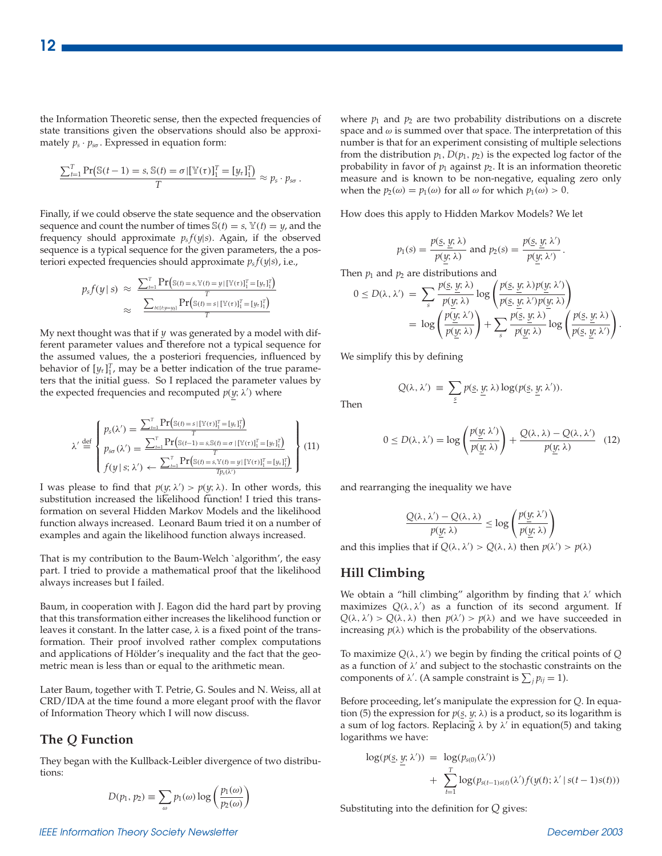the Information Theoretic sense, then the expected frequencies of state transitions given the observations should also be approximately  $p_s \cdot p_{s\sigma}$ . Expressed in equation form:

$$
\frac{\sum_{t=1}^{T} \Pr\big(\mathbb{S}(t-1) = s, \mathbb{S}(t) = \sigma | [\mathbb{Y}(\tau)]_1^T = [y_\tau]_1^T\big)}{T} \approx p_s \cdot p_{s\sigma}.
$$

Finally, if we could observe the state sequence and the observation sequence and count the number of times  $\mathcal{S}(t) = s$ ,  $\mathcal{Y}(t) = y$ , and the frequency should approximate  $p_s f(y|s)$ . Again, if the observed sequence is a typical sequence for the given parameters, the a posteriori expected frequencies should approximate *ps f*(*y*|*s*), i.e.,

$$
p_s f(y \mid s) \approx \frac{\sum_{t=1}^{T} \Pr(s(t) = s, \mathbb{Y}(t) = y | [\mathbb{Y}(\tau)]_1^T = [y_t]_1^T)}{\sum_{t \in \{t : y = y_t\}} \Pr(s(t) = s | [\mathbb{Y}(\tau)]_1^T = [y_t]_1^T)}{\frac{\sum_{t \in \{t : y = y_t\}} \Pr(s(t) = s | [\mathbb{Y}(\tau)]_1^T = [y_t]_1^T)}{\tau}}
$$

My next thought was that if *y* was generated by a model with different parameter values and therefore not a typical sequence for the assumed values, the a posteriori frequencies, influenced by behavior of  $[y_\tau]_1^T$ , may be a better indication of the true parameters that the initial guess. So I replaced the parameter values by the expected frequencies and recomputed  $p(y; \lambda)$  where

$$
\lambda' \stackrel{\text{def}}{=} \begin{cases} p_s(\lambda') = \frac{\sum_{l=1}^{T} \Pr(\mathbb{S}(t) = s | [\mathbb{Y}(\tau)]_1^T = [y_t]_1^T)}{T} \\ p_{s\sigma}(\lambda') = \frac{\sum_{l=1}^{T} \Pr(\mathbb{S}(t-1) = s, \mathbb{S}(t) = \sigma | [\mathbb{Y}(\tau)]_1^T = [y_t]_1^T)}{T} \\ f(y | s; \lambda') \leftarrow \frac{\sum_{l=1}^{T} \Pr(\mathbb{S}(t) = s, \mathbb{Y}(t) = y | [\mathbb{Y}(\tau)]_1^T = [y_t]_1^T)}{T p_s(\lambda')} \end{cases} (11)
$$

I was please to find that  $p(y; \lambda') > p(y; \lambda)$ . In other words, this substitution increased the likelihood function! I tried this transformation on several Hidden Markov Models and the likelihood function always increased. Leonard Baum tried it on a number of examples and again the likelihood function always increased.

That is my contribution to the Baum-Welch `algorithm', the easy part. I tried to provide a mathematical proof that the likelihood always increases but I failed.

Baum, in cooperation with J. Eagon did the hard part by proving that this transformation either increases the likelihood function or leaves it constant. In the latter case,  $\lambda$  is a fixed point of the transformation. Their proof involved rather complex computations and applications of Hölder's inequality and the fact that the geometric mean is less than or equal to the arithmetic mean.

Later Baum, together with T. Petrie, G. Soules and N. Weiss, all at CRD/IDA at the time found a more elegant proof with the flavor of Information Theory which I will now discuss.

#### **The** *Q* **Function**

They began with the Kullback-Leibler divergence of two distributions:

$$
D(p_1, p_2) \equiv \sum_{\omega} p_1(\omega) \log \left( \frac{p_1(\omega)}{p_2(\omega)} \right)
$$

where  $p_1$  and  $p_2$  are two probability distributions on a discrete space and  $\omega$  is summed over that space. The interpretation of this number is that for an experiment consisting of multiple selections from the distribution  $p_1$ ,  $D(p_1, p_2)$  is the expected log factor of the probability in favor of  $p_1$  against  $p_2$ . It is an information theoretic measure and is known to be non-negative, equaling zero only when the  $p_2(\omega) = p_1(\omega)$  for all  $\omega$  for which  $p_1(\omega) > 0$ .

How does this apply to Hidden Markov Models? We let

$$
p_1(s) = \frac{p(s, \underline{y}; \lambda)}{p(y; \lambda)} \text{ and } p_2(s) = \frac{p(s, \underline{y}; \lambda')}{p(y; \lambda')}.
$$

Then  $p_1$  and  $p_2$  are distributions and

$$
0 \leq D(\lambda, \lambda') = \sum_{s} \frac{p(\underline{s}, \underline{y}; \lambda)}{p(\underline{y}; \lambda)} \log \left( \frac{p(\underline{s}, \underline{y}; \lambda) p(\underline{y}; \lambda')}{p(\underline{s}, \underline{y}; \lambda') p(\underline{y}; \lambda)} \right)
$$
  
= 
$$
\log \left( \frac{p(\underline{y}; \lambda')}{p(\underline{y}; \lambda)} \right) + \sum_{s} \frac{p(\underline{s}, \underline{y}; \lambda)}{p(\underline{y}; \lambda)} \log \left( \frac{p(\underline{s}, \underline{y}; \lambda)}{p(\underline{s}, \underline{y}; \lambda')} \right).
$$

We simplify this by defining

Then

$$
Q(\lambda, \lambda') \equiv \sum_{\underline{s}} p(\underline{s}, \underline{y}; \lambda) \log(p(\underline{s}, \underline{y}; \lambda')).
$$

$$
0 \le D(\lambda, \lambda') = \log \left( \frac{p(\underline{y}; \lambda')}{p(\underline{y}; \lambda)} \right) + \frac{Q(\lambda, \lambda) - Q(\lambda, \lambda')}{p(\underline{y}; \lambda)} \quad (12)
$$

and rearranging the inequality we have

$$
\frac{Q(\lambda, \lambda') - Q(\lambda, \lambda)}{p(y; \lambda)} \le \log \left( \frac{p(y; \lambda')}{p(y; \lambda)} \right)
$$

and this implies that if  $Q(\lambda, \lambda') > Q(\lambda, \lambda)$  then  $p(\lambda') > p(\lambda)$ 

#### **Hill Climbing**

We obtain a "hill climbing" algorithm by finding that  $\lambda'$  which maximizes  $Q(\lambda, \lambda')$  as a function of its second argument. If  $Q(\lambda, \lambda') > Q(\lambda, \lambda)$  then  $p(\lambda') > p(\lambda)$  and we have succeeded in increasing  $p(\lambda)$  which is the probability of the observations.

To maximize *Q*(λ,λ ) we begin by finding the critical points of *Q* as a function of  $\lambda'$  and subject to the stochastic constraints on the components of  $\lambda'$ . (A sample constraint is  $\sum_j p_{ij} = 1$ ).

Before proceeding, let's manipulate the expression for *Q*. In equation (5) the expression for  $p(s, y; \lambda)$  is a product, so its logarithm is a sum of log factors. Replacing  $\lambda$  by  $\lambda'$  in equation(5) and taking logarithms we have:

$$
\log(p(\underline{s}, \underline{y}; \lambda')) = \log(p_{s(0)}(\lambda')) + \sum_{t=1}^{T} \log(p_{s(t-1)s(t)}(\lambda') f(y(t); \lambda' | s(t-1)s(t)))
$$

Substituting into the definition for *Q* gives:

#### *IEEE Information Theory Society Newsletter December 2003*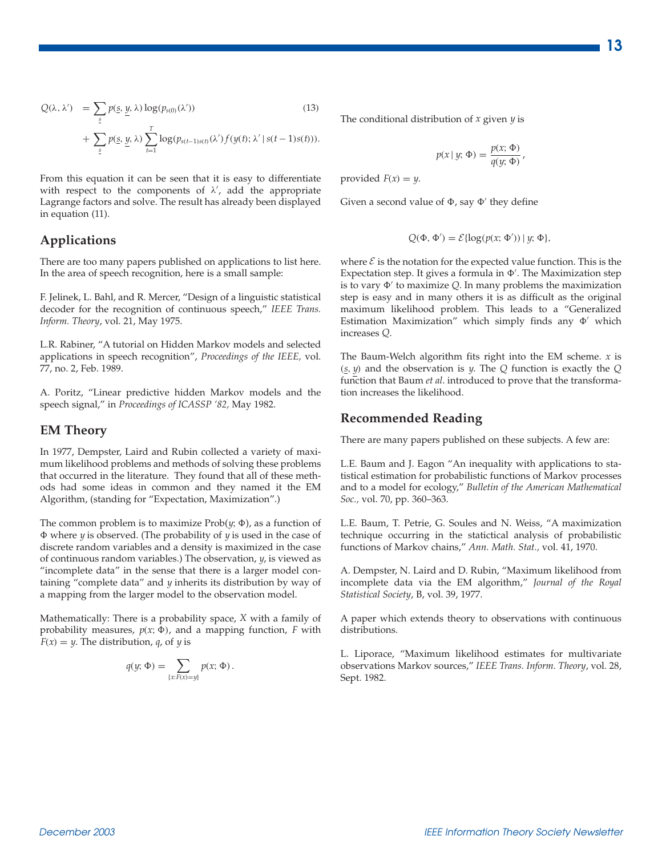$$
Q(\lambda, \lambda') = \sum_{\underline{s}} p(\underline{s}, \underline{y}, \lambda) \log(p_{s(0)}(\lambda')) \qquad (13)
$$
  
+ 
$$
\sum_{\underline{s}} p(\underline{s}, \underline{y}, \lambda) \sum_{t=1}^{T} \log(p_{s(t-1)s(t)}(\lambda') f(y(t); \lambda' | s(t-1)s(t))).
$$

From this equation it can be seen that it is easy to differentiate with respect to the components of  $\lambda'$ , add the appropriate Lagrange factors and solve. The result has already been displayed in equation (11).

#### **Applications**

There are too many papers published on applications to list here. In the area of speech recognition, here is a small sample:

F. Jelinek, L. Bahl, and R. Mercer, "Design of a linguistic statistical decoder for the recognition of continuous speech," *IEEE Trans. Inform. Theory*, vol. 21, May 1975.

L.R. Rabiner, "A tutorial on Hidden Markov models and selected applications in speech recognition", *Proceedings of the IEEE,* vol. 77, no. 2, Feb. 1989.

A. Poritz, "Linear predictive hidden Markov models and the speech signal," in *Proceedings of ICASSP '82,* May 1982.

#### **EM Theory**

In 1977, Dempster, Laird and Rubin collected a variety of maximum likelihood problems and methods of solving these problems that occurred in the literature. They found that all of these methods had some ideas in common and they named it the EM Algorithm, (standing for "Expectation, Maximization".)

The common problem is to maximize  $Prob(y, \Phi)$ , as a function of - where *y* is observed. (The probability of *y* is used in the case of discrete random variables and a density is maximized in the case of continuous random variables.) The observation, *y*, is viewed as "incomplete data" in the sense that there is a larger model containing "complete data" and *y* inherits its distribution by way of a mapping from the larger model to the observation model.

Mathematically: There is a probability space, *X* with a family of probability measures,  $p(x; \Phi)$ , and a mapping function,  $F$  with  $F(x) = y$ . The distribution, *q*, of *y* is

$$
q(y; \Phi) = \sum_{\{x: F(x) = y\}} p(x; \Phi).
$$

The conditional distribution of *x* given *y* is

$$
p(x \mid y; \Phi) = \frac{p(x; \Phi)}{q(y; \Phi)},
$$

provided  $F(x) = y$ .

Given a second value of  $\Phi$ , say  $\Phi'$  they define

$$
Q(\Phi, \Phi') = \mathcal{E}\{\log(p(x; \Phi')) \mid y; \Phi\},\
$$

where  $\mathcal E$  is the notation for the expected value function. This is the Expectation step. It gives a formula in  $\Phi'$ . The Maximization step is to vary  $\Phi'$  to maximize Q. In many problems the maximization step is easy and in many others it is as difficult as the original maximum likelihood problem. This leads to a "Generalized Estimation Maximization" which simply finds any  $\Phi'$  which increases *Q*.

The Baum-Welch algorithm fits right into the EM scheme. *x* is (*s*, *y*) and the observation is *y*. The *Q* function is exactly the *Q* function that Baum *et al*. introduced to prove that the transformation increases the likelihood.

#### **Recommended Reading**

There are many papers published on these subjects. A few are:

L.E. Baum and J. Eagon "An inequality with applications to statistical estimation for probabilistic functions of Markov processes and to a model for ecology," *Bulletin of the American Mathematical Soc.,* vol. 70, pp. 360–363.

L.E. Baum, T. Petrie, G. Soules and N. Weiss, "A maximization technique occurring in the statictical analysis of probabilistic functions of Markov chains," *Ann. Math. Stat.,* vol. 41, 1970.

A. Dempster, N. Laird and D. Rubin, "Maximum likelihood from incomplete data via the EM algorithm," *Journal of the Royal Statistical Society*, B, vol. 39, 1977.

A paper which extends theory to observations with continuous distributions.

L. Liporace, "Maximum likelihood estimates for multivariate observations Markov sources," *IEEE Trans. Inform. Theory*, vol. 28, Sept. 1982.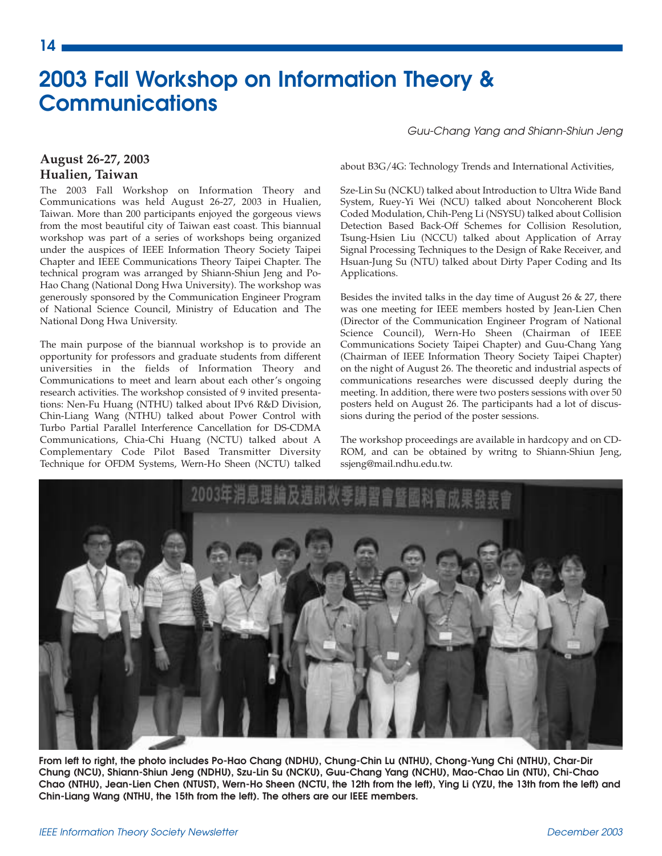## **2003 Fall Workshop on Information Theory & Communications**

#### *Guu-Chang Yang and Shiann-Shiun Jeng*

#### **August 26-27, 2003 Hualien, Taiwan**

The 2003 Fall Workshop on Information Theory and Communications was held August 26-27, 2003 in Hualien, Taiwan. More than 200 participants enjoyed the gorgeous views from the most beautiful city of Taiwan east coast. This biannual workshop was part of a series of workshops being organized under the auspices of IEEE Information Theory Society Taipei Chapter and IEEE Communications Theory Taipei Chapter. The technical program was arranged by Shiann-Shiun Jeng and Po-Hao Chang (National Dong Hwa University). The workshop was generously sponsored by the Communication Engineer Program of National Science Council, Ministry of Education and The National Dong Hwa University.

The main purpose of the biannual workshop is to provide an opportunity for professors and graduate students from different universities in the fields of Information Theory and Communications to meet and learn about each other's ongoing research activities. The workshop consisted of 9 invited presentations: Nen-Fu Huang (NTHU) talked about IPv6 R&D Division, Chin-Liang Wang (NTHU) talked about Power Control with Turbo Partial Parallel Interference Cancellation for DS-CDMA Communications, Chia-Chi Huang (NCTU) talked about A Complementary Code Pilot Based Transmitter Diversity Technique for OFDM Systems, Wern-Ho Sheen (NCTU) talked about B3G/4G: Technology Trends and International Activities,

Sze-Lin Su (NCKU) talked about Introduction to Ultra Wide Band System, Ruey-Yi Wei (NCU) talked about Noncoherent Block Coded Modulation, Chih-Peng Li (NSYSU) talked about Collision Detection Based Back-Off Schemes for Collision Resolution, Tsung-Hsien Liu (NCCU) talked about Application of Array Signal Processing Techniques to the Design of Rake Receiver, and Hsuan-Jung Su (NTU) talked about Dirty Paper Coding and Its Applications.

Besides the invited talks in the day time of August 26  $& 27$ , there was one meeting for IEEE members hosted by Jean-Lien Chen (Director of the Communication Engineer Program of National Science Council), Wern-Ho Sheen (Chairman of IEEE Communications Society Taipei Chapter) and Guu-Chang Yang (Chairman of IEEE Information Theory Society Taipei Chapter) on the night of August 26. The theoretic and industrial aspects of communications researches were discussed deeply during the meeting. In addition, there were two posters sessions with over 50 posters held on August 26. The participants had a lot of discussions during the period of the poster sessions.

The workshop proceedings are available in hardcopy and on CD-ROM, and can be obtained by writng to Shiann-Shiun Jeng, ssjeng@mail.ndhu.edu.tw.



**From left to right, the photo includes Po-Hao Chang (NDHU), Chung-Chin Lu (NTHU), Chong-Yung Chi (NTHU), Char-Dir Chung (NCU), Shiann-Shiun Jeng (NDHU), Szu-Lin Su (NCKU), Guu-Chang Yang (NCHU), Mao-Chao Lin (NTU), Chi-Chao Chao (NTHU), Jean-Lien Chen (NTUST), Wern-Ho Sheen (NCTU, the 12th from the left), Ying Li (YZU, the 13th from the left) and Chin-Liang Wang (NTHU, the 15th from the left). The others are our IEEE members.**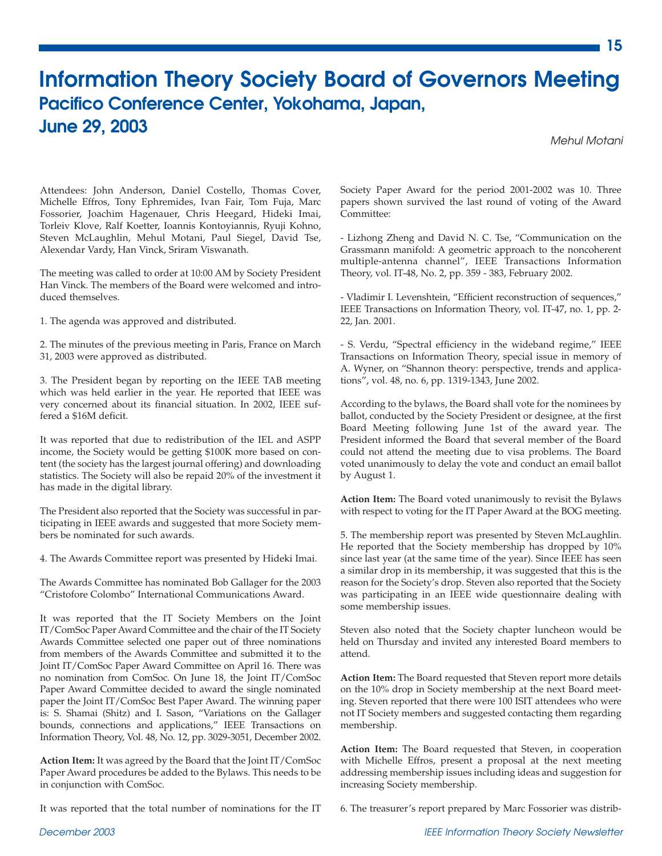## **Information Theory Society Board of Governors Meeting Pacifico Conference Center, Yokohama, Japan, June 29, 2003**

*Mehul Motani*

**15**

Attendees: John Anderson, Daniel Costello, Thomas Cover, Michelle Effros, Tony Ephremides, Ivan Fair, Tom Fuja, Marc Fossorier, Joachim Hagenauer, Chris Heegard, Hideki Imai, Torleiv Klove, Ralf Koetter, Ioannis Kontoyiannis, Ryuji Kohno, Steven McLaughlin, Mehul Motani, Paul Siegel, David Tse, Alexendar Vardy, Han Vinck, Sriram Viswanath.

The meeting was called to order at 10:00 AM by Society President Han Vinck. The members of the Board were welcomed and introduced themselves.

1. The agenda was approved and distributed.

2. The minutes of the previous meeting in Paris, France on March 31, 2003 were approved as distributed.

3. The President began by reporting on the IEEE TAB meeting which was held earlier in the year. He reported that IEEE was very concerned about its financial situation. In 2002, IEEE suffered a \$16M deficit.

It was reported that due to redistribution of the IEL and ASPP income, the Society would be getting \$100K more based on content (the society has the largest journal offering) and downloading statistics. The Society will also be repaid 20% of the investment it has made in the digital library.

The President also reported that the Society was successful in participating in IEEE awards and suggested that more Society members be nominated for such awards.

4. The Awards Committee report was presented by Hideki Imai.

The Awards Committee has nominated Bob Gallager for the 2003 "Cristofore Colombo" International Communications Award.

It was reported that the IT Society Members on the Joint IT/ComSoc Paper Award Committee and the chair of the IT Society Awards Committee selected one paper out of three nominations from members of the Awards Committee and submitted it to the Joint IT/ComSoc Paper Award Committee on April 16. There was no nomination from ComSoc. On June 18, the Joint IT/ComSoc Paper Award Committee decided to award the single nominated paper the Joint IT/ComSoc Best Paper Award. The winning paper is: S. Shamai (Shitz) and I. Sason, "Variations on the Gallager bounds, connections and applications," IEEE Transactions on Information Theory, Vol. 48, No. 12, pp. 3029-3051, December 2002.

**Action Item:** It was agreed by the Board that the Joint IT/ComSoc Paper Award procedures be added to the Bylaws. This needs to be in conjunction with ComSoc.

It was reported that the total number of nominations for the IT

Society Paper Award for the period 2001-2002 was 10. Three papers shown survived the last round of voting of the Award Committee:

- Lizhong Zheng and David N. C. Tse, "Communication on the Grassmann manifold: A geometric approach to the noncoherent multiple-antenna channel", IEEE Transactions Information Theory, vol. IT-48, No. 2, pp. 359 - 383, February 2002.

- Vladimir I. Levenshtein, "Efficient reconstruction of sequences," IEEE Transactions on Information Theory, vol. IT-47, no. 1, pp. 2- 22, Jan. 2001.

- S. Verdu, "Spectral efficiency in the wideband regime," IEEE Transactions on Information Theory, special issue in memory of A. Wyner, on "Shannon theory: perspective, trends and applications", vol. 48, no. 6, pp. 1319-1343, June 2002.

According to the bylaws, the Board shall vote for the nominees by ballot, conducted by the Society President or designee, at the first Board Meeting following June 1st of the award year. The President informed the Board that several member of the Board could not attend the meeting due to visa problems. The Board voted unanimously to delay the vote and conduct an email ballot by August 1.

**Action Item:** The Board voted unanimously to revisit the Bylaws with respect to voting for the IT Paper Award at the BOG meeting.

5. The membership report was presented by Steven McLaughlin. He reported that the Society membership has dropped by 10% since last year (at the same time of the year). Since IEEE has seen a similar drop in its membership, it was suggested that this is the reason for the Society's drop. Steven also reported that the Society was participating in an IEEE wide questionnaire dealing with some membership issues.

Steven also noted that the Society chapter luncheon would be held on Thursday and invited any interested Board members to attend.

**Action Item:** The Board requested that Steven report more details on the 10% drop in Society membership at the next Board meeting. Steven reported that there were 100 ISIT attendees who were not IT Society members and suggested contacting them regarding membership.

**Action Item:** The Board requested that Steven, in cooperation with Michelle Effros, present a proposal at the next meeting addressing membership issues including ideas and suggestion for increasing Society membership.

6. The treasurer's report prepared by Marc Fossorier was distrib-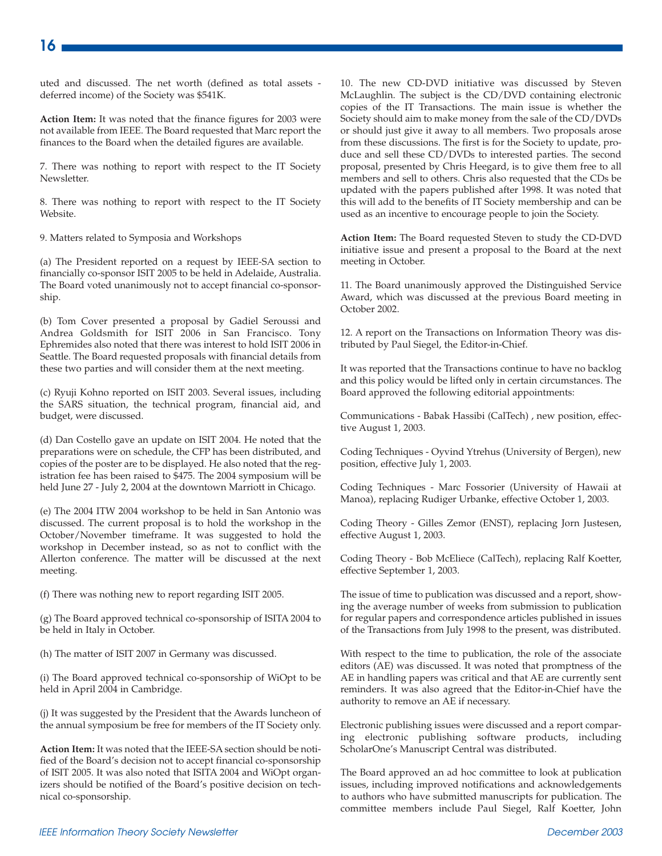uted and discussed. The net worth (defined as total assets deferred income) of the Society was \$541K.

**Action Item:** It was noted that the finance figures for 2003 were not available from IEEE. The Board requested that Marc report the finances to the Board when the detailed figures are available.

7. There was nothing to report with respect to the IT Society Newsletter.

8. There was nothing to report with respect to the IT Society Website.

9. Matters related to Symposia and Workshops

(a) The President reported on a request by IEEE-SA section to financially co-sponsor ISIT 2005 to be held in Adelaide, Australia. The Board voted unanimously not to accept financial co-sponsorship.

(b) Tom Cover presented a proposal by Gadiel Seroussi and Andrea Goldsmith for ISIT 2006 in San Francisco. Tony Ephremides also noted that there was interest to hold ISIT 2006 in Seattle. The Board requested proposals with financial details from these two parties and will consider them at the next meeting.

(c) Ryuji Kohno reported on ISIT 2003. Several issues, including the SARS situation, the technical program, financial aid, and budget, were discussed.

(d) Dan Costello gave an update on ISIT 2004. He noted that the preparations were on schedule, the CFP has been distributed, and copies of the poster are to be displayed. He also noted that the registration fee has been raised to \$475. The 2004 symposium will be held June 27 - July 2, 2004 at the downtown Marriott in Chicago.

(e) The 2004 ITW 2004 workshop to be held in San Antonio was discussed. The current proposal is to hold the workshop in the October/November timeframe. It was suggested to hold the workshop in December instead, so as not to conflict with the Allerton conference. The matter will be discussed at the next meeting.

(f) There was nothing new to report regarding ISIT 2005.

(g) The Board approved technical co-sponsorship of ISITA 2004 to be held in Italy in October.

(h) The matter of ISIT 2007 in Germany was discussed.

(i) The Board approved technical co-sponsorship of WiOpt to be held in April 2004 in Cambridge.

(j) It was suggested by the President that the Awards luncheon of the annual symposium be free for members of the IT Society only.

**Action Item:** It was noted that the IEEE-SA section should be notified of the Board's decision not to accept financial co-sponsorship of ISIT 2005. It was also noted that ISITA 2004 and WiOpt organizers should be notified of the Board's positive decision on technical co-sponsorship.

10. The new CD-DVD initiative was discussed by Steven McLaughlin. The subject is the CD/DVD containing electronic copies of the IT Transactions. The main issue is whether the Society should aim to make money from the sale of the CD/DVDs or should just give it away to all members. Two proposals arose from these discussions. The first is for the Society to update, produce and sell these CD/DVDs to interested parties. The second proposal, presented by Chris Heegard, is to give them free to all members and sell to others. Chris also requested that the CDs be updated with the papers published after 1998. It was noted that this will add to the benefits of IT Society membership and can be used as an incentive to encourage people to join the Society.

**Action Item:** The Board requested Steven to study the CD-DVD initiative issue and present a proposal to the Board at the next meeting in October.

11. The Board unanimously approved the Distinguished Service Award, which was discussed at the previous Board meeting in October 2002.

12. A report on the Transactions on Information Theory was distributed by Paul Siegel, the Editor-in-Chief.

It was reported that the Transactions continue to have no backlog and this policy would be lifted only in certain circumstances. The Board approved the following editorial appointments:

Communications - Babak Hassibi (CalTech) , new position, effective August 1, 2003.

Coding Techniques - Oyvind Ytrehus (University of Bergen), new position, effective July 1, 2003.

Coding Techniques - Marc Fossorier (University of Hawaii at Manoa), replacing Rudiger Urbanke, effective October 1, 2003.

Coding Theory - Gilles Zemor (ENST), replacing Jorn Justesen, effective August 1, 2003.

Coding Theory - Bob McEliece (CalTech), replacing Ralf Koetter, effective September 1, 2003.

The issue of time to publication was discussed and a report, showing the average number of weeks from submission to publication for regular papers and correspondence articles published in issues of the Transactions from July 1998 to the present, was distributed.

With respect to the time to publication, the role of the associate editors (AE) was discussed. It was noted that promptness of the AE in handling papers was critical and that AE are currently sent reminders. It was also agreed that the Editor-in-Chief have the authority to remove an AE if necessary.

Electronic publishing issues were discussed and a report comparing electronic publishing software products, including ScholarOne's Manuscript Central was distributed.

The Board approved an ad hoc committee to look at publication issues, including improved notifications and acknowledgements to authors who have submitted manuscripts for publication. The committee members include Paul Siegel, Ralf Koetter, John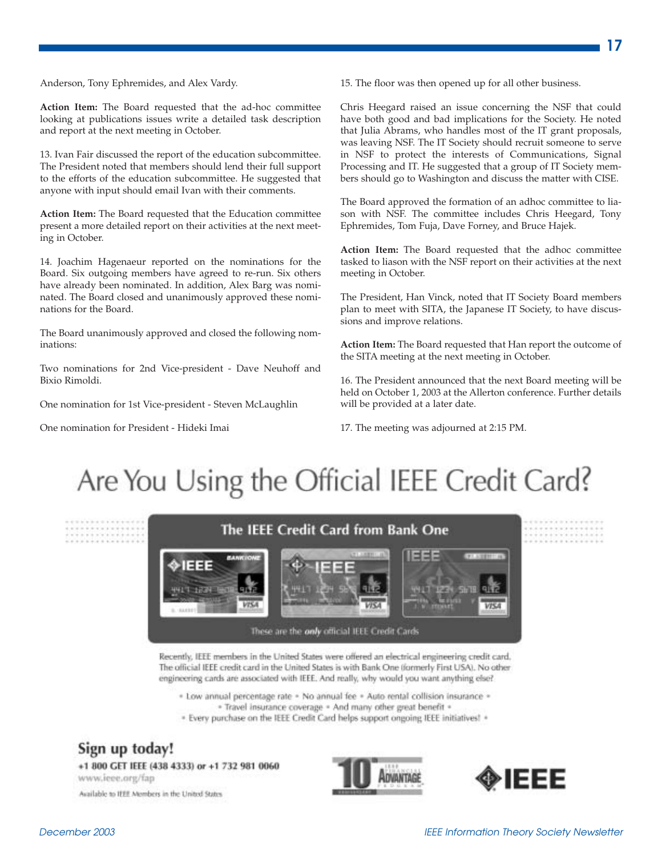Anderson, Tony Ephremides, and Alex Vardy.

**Action Item:** The Board requested that the ad-hoc committee looking at publications issues write a detailed task description and report at the next meeting in October.

13. Ivan Fair discussed the report of the education subcommittee. The President noted that members should lend their full support to the efforts of the education subcommittee. He suggested that anyone with input should email Ivan with their comments.

**Action Item:** The Board requested that the Education committee present a more detailed report on their activities at the next meeting in October.

14. Joachim Hagenaeur reported on the nominations for the Board. Six outgoing members have agreed to re-run. Six others have already been nominated. In addition, Alex Barg was nominated. The Board closed and unanimously approved these nominations for the Board.

The Board unanimously approved and closed the following nominations:

Two nominations for 2nd Vice-president - Dave Neuhoff and Bixio Rimoldi.

One nomination for 1st Vice-president - Steven McLaughlin

One nomination for President - Hideki Imai

15. The floor was then opened up for all other business.

Chris Heegard raised an issue concerning the NSF that could have both good and bad implications for the Society. He noted that Julia Abrams, who handles most of the IT grant proposals, was leaving NSF. The IT Society should recruit someone to serve in NSF to protect the interests of Communications, Signal Processing and IT. He suggested that a group of IT Society members should go to Washington and discuss the matter with CISE.

The Board approved the formation of an adhoc committee to liason with NSF. The committee includes Chris Heegard, Tony Ephremides, Tom Fuja, Dave Forney, and Bruce Hajek.

**Action Item:** The Board requested that the adhoc committee tasked to liason with the NSF report on their activities at the next meeting in October.

The President, Han Vinck, noted that IT Society Board members plan to meet with SITA, the Japanese IT Society, to have discussions and improve relations.

**Action Item:** The Board requested that Han report the outcome of the SITA meeting at the next meeting in October.

16. The President announced that the next Board meeting will be held on October 1, 2003 at the Allerton conference. Further details will be provided at a later date.

17. The meeting was adjourned at 2:15 PM.

## Are You Using the Official IEEE Credit Card?



Recently, IEEE members in the United States were offered an electrical engineering credit card, The official IEEE credit card in the United States is with Bank One (formerly First USA). No other engineering cards are associated with IEEE. And really, why would you want anything else?

\* Low annual percentage rate \* No annual fee \* Auto rental collision insurance \* - Travel insurance coverage - And many other great benefit -

\* Every purchase on the IEEE Credit Card helps support ongoing IEEE initiatives! \*

### Sign up today!

+1 800 GET IEEE (438 4333) or +1 732 981 0060 www.ieee.org/fap

Available to IEEE Members in the United States



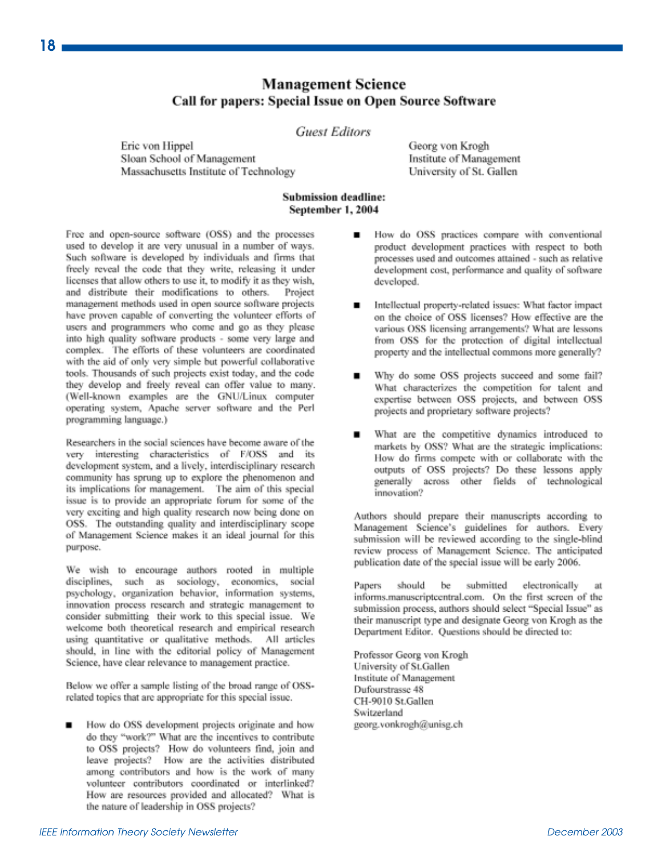#### **Management Science** Call for papers: Special Issue on Open Source Software

#### **Guest Editors**

Eric von Hippel Sloan School of Management Massachusetts Institute of Technology

#### **Submission deadline:** September 1, 2004

Free and open-source software (OSS) and the processes used to develop it are very unusual in a number of ways. Such software is developed by individuals and firms that freely reveal the code that they write, releasing it under licenses that allow others to use it, to modify it as they wish, and distribute their modifications to others. Project management methods used in open source software projects have proven capable of converting the volunteer efforts of users and programmers who come and go as they please into high quality software products - some very large and complex. The efforts of these volunteers are coordinated with the aid of only very simple but powerful collaborative tools. Thousands of such projects exist today, and the code they develop and freely reveal can offer value to many. (Well-known examples are the GNU/Linux computer operating system, Apache server software and the Perl programming language.)

Researchers in the social sciences have become aware of the very interesting characteristics of F/OSS and its development system, and a lively, interdisciplinary research community has sprung up to explore the phenomenon and its implications for management. The aim of this special issue is to provide an appropriate forum for some of the very exciting and high quality research now being done on OSS. The outstanding quality and interdisciplinary scope of Management Science makes it an ideal journal for this purpose.

We wish to encourage authors rooted in multiple disciplines, such as sociology, economics, social psychology, organization behavior, information systems, innovation process research and strategic management to consider submitting their work to this special issue. We welcome both theoretical research and empirical research using quantitative or qualitative methods. All articles should, in line with the editorial policy of Management Science, have clear relevance to management practice.

Below we offer a sample listing of the broad range of OSSrelated topics that are appropriate for this special issue.

How do OSS development projects originate and how do they "work?" What are the incentives to contribute to OSS projects? How do volunteers find, join and leave projects? How are the activities distributed among contributors and how is the work of many volunteer contributors coordinated or interlinked? How are resources provided and allocated? What is the nature of leadership in OSS projects?

Georg von Krogh Institute of Management University of St. Gallen

- How do OSS practices compare with conventional . product development practices with respect to both processes used and outcomes attained - such as relative development cost, performance and quality of software developed.
- Intellectual property-related issues: What factor impact on the choice of OSS licenses? How effective are the various OSS licensing arrangements? What are lessons from OSS for the protection of digital intellectual property and the intellectual commons more generally?
- Why do some OSS projects succeed and some fail? What characterizes the competition for talent and expertise between OSS projects, and between OSS projects and proprietary software projects?
- What are the competitive dynamics introduced to markets by OSS? What are the strategic implications: How do firms compete with or collaborate with the outputs of OSS projects? Do these lessons apply generally across other fields of technological innovation?

Authors should prepare their manuscripts according to Management Science's guidelines for authors. Every submission will be reviewed according to the single-blind review process of Management Science. The anticipated publication date of the special issue will be early 2006.

submitted electronically Papers should be at informs.manuscriptcentral.com. On the first screen of the submission process, authors should select "Special Issue" as their manuscript type and designate Georg von Krogh as the Department Editor. Questions should be directed to:

Professor Georg von Krogh University of St.Gallen Institute of Management Dufourstrasse 48 CH-9010 St.Gallen Switzerland georg.vonkrogh@unisg.ch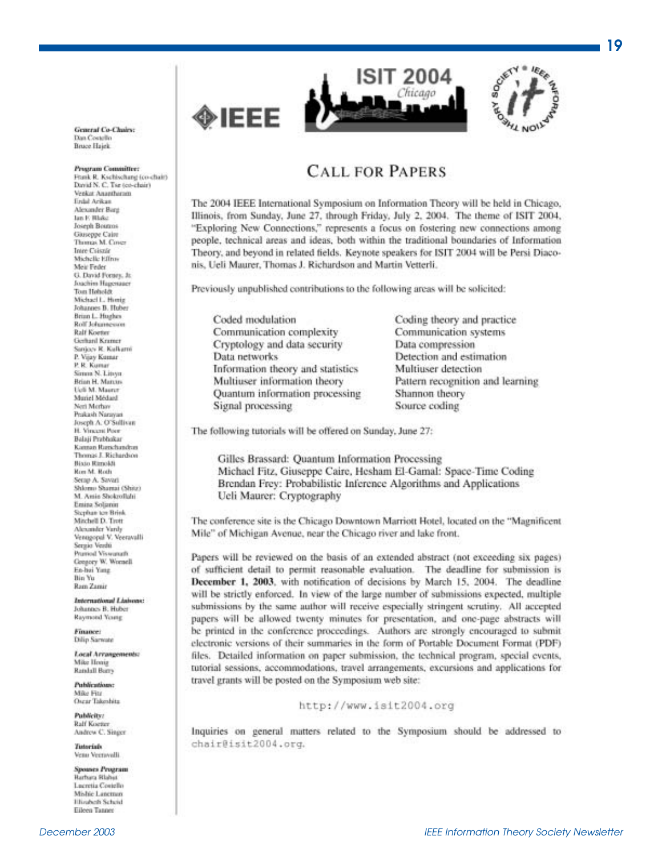

**General Co-Chairs:** Dan Costello Bruce Hajek

#### Program Committee:

Frank R. Kschischang (co-chair) David N. C. Tse (co-chair) Verkat Ananthomm Field Arikan Alexander Bare Jan F. Blake Joseph Bouros Giuseppe Caire Thomas M. Cover **Intre Csiszár** Michelle Effroy Meir Feder G. David Forney, Jr. foachim Hasemager Tom Hebolck Michael L. Honig Johannes B. Huber Brian L. Hughes Rolf Johannessen **Ralf Koeter** Gerhard Kramer Sanices R. Kalkami P. Vijay Kumar P. R. Kumar Simux N. Linyu Brian H. Manan-**Ucli M. Maurer** Muriel Médasd Neri Merbay. Prakash Narayan Joseph A. O'Sullivan H. Vincent Poor **Balaji Prabhakar** Kansas Ranchandras Thomas J. Richardson **Bixin Rimokli Ron M. Roth** Setup A. Savari Shlomo Shamai (Shitz) M. Aniis Shokroflahi Enina Solanin Stephan ten Brink Mitchell D. Trott Alexander Vardy Venogopal V. Veeravalli Sergio Verdú Prunted Viswanath Geogory W. Worsell En-hai Yang Bin Yu Ram Zamir

International Lisbons: Johannes B. Huber Raymond Young

Financei Dilip Sarwate

Local Arrangements: Mike Honig Randall Burry

**Publications:** Mike Fitz Oscar Takeshita

**Publicity: Ralf Koeter** Andrew C. Singer

**Tutorisis** Venu Vecrovolli

Spouses Program **Harbara Stlahet** Lucretia Costello Mishie Laneman Hindsch Schold Eileen Tanner

#### **CALL FOR PAPERS**

The 2004 IEEE International Symposium on Information Theory will be held in Chicago, Illinois, from Sunday, June 27, through Friday, July 2, 2004. The theme of ISIT 2004, "Exploring New Connections," represents a focus on fostering new connections among people, technical areas and ideas, both within the traditional boundaries of Information Theory, and beyond in related fields. Keynote speakers for ISIT 2004 will be Persi Diaconis, Ueli Maurer, Thomas J. Richardson and Martin Vetterli.

Previously unpublished contributions to the following areas will be solicited:

Coded modulation Communication complexity Cryptology and data security Data networks Information theory and statistics Multiuser information theory Quantum information processing Signal processing

◈IEEE

Coding theory and practice Communication systems Data compression Detection and estimation Multiuser detection Pattern recognition and learning Shannon theory Source coding

The following tutorials will be offered on Sunday, June 27:

Gilles Brassard: Quantum Information Processing Michael Fitz, Giuseppe Caire, Hesham El-Gamal: Space-Time Coding Brendan Frey: Probabilistic Inference Algorithms and Applications Ueli Maurer: Cryptography

The conference site is the Chicago Downtown Marriott Hotel, located on the "Magnificent Mile" of Michigan Avenue, near the Chicago river and lake front.

Papers will be reviewed on the basis of an extended abstract (not exceeding six pages) of sufficient detail to permit reasonable evaluation. The deadline for submission is December 1, 2003, with notification of decisions by March 15, 2004. The deadline will be strictly enforced. In view of the large number of submissions expected, multiple submissions by the same author will receive especially stringent scrutiny. All accepted papers will be allowed twenty minutes for presentation, and one-page abstracts will be printed in the conference proceedings. Authors are strongly encouraged to submit electronic versions of their summaries in the form of Portable Document Format (PDF) files. Detailed information on paper submission, the technical program, special events, tutorial sessions, accommodations, travel arrangements, excursions and applications for travel grants will be posted on the Symposium web site:

http://www.isit2004.org

Inquiries on general matters related to the Symposium should be addressed to chair@isit2004.org.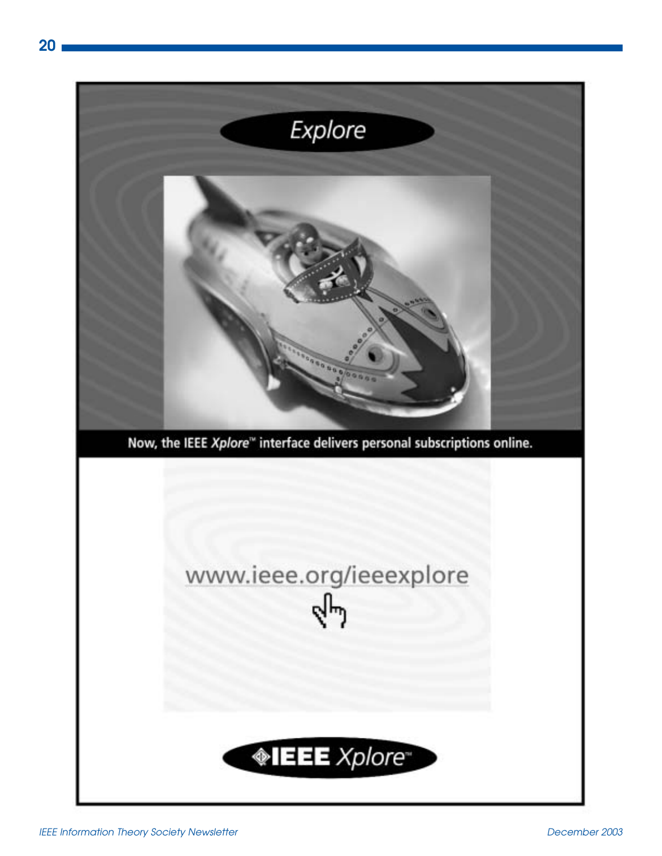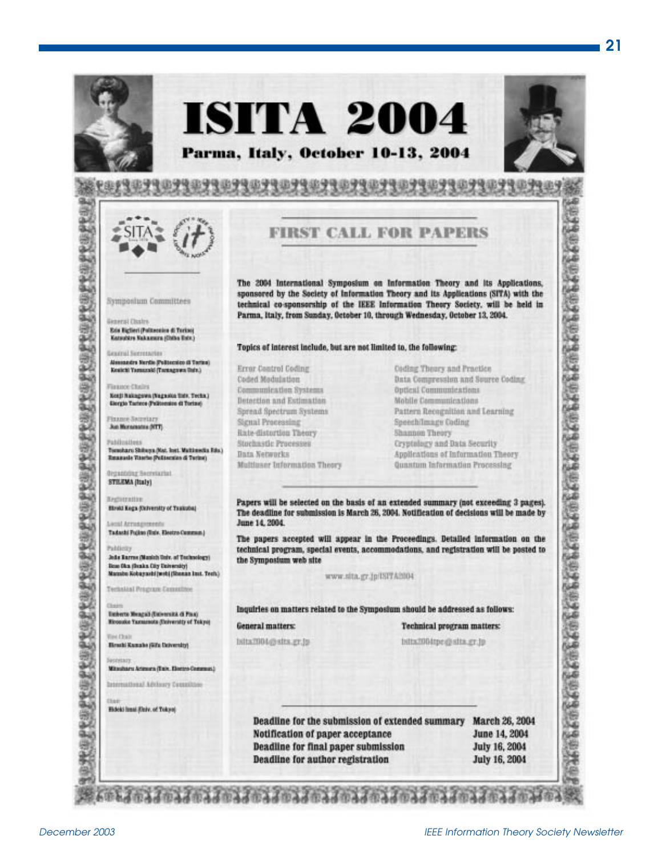

PROPER

经定期发展起发现发生的复数

经定义经定义经定义经定义经

**SEPREPE** 

ij

愛名家

岩

新聞

## **ISITA 2004** Parma, Italy, October 10-13, 2004



**The America** 

受理的分布率

2356



Symposium Committees

Ess Biglieri (Politiennies di Torino) Katsubire Nakamera (Daha Esin)

Alexandra Nerdie (Politectico di Tarina)

Kerji Rakagawa (Nagastea linis, Techa.)

Tomoharu Shihuya (Nat. Inst. Maltimedia Edu.)

Reassels Titorio (Politectics di Turine)

**Hotd Kega (Deterrity of Trakoba)** 

Tadashi Fujino (Ruiv. Electro Commun.)

João Rarros (Manich Toir, of Technology)

Technical Program Committee

Emberto Mengali (Entrerata di Piaz) **Ricordio Tamimute (Delversity of Tokyo)** 

**Birachi Kamahe (With Delversity)** 

Mitsubaru Arizona (Taix, Electro Commun)

International Address Countities

**Hideki limai (Daiv. of Tokyo)** 

Ikue Oka (Inaka City University)<br>Marabu Kobapashi (webi (Shonan Inst. Tech.)

Elergio Tarinto Politongion di Toringi

Kenicki Tamazaki (Tamagawa Iluin.)

**General Distrs** 

General Secretaries

Finance Chairs

**Finance Secretary** 

Publications

**Registrative** 

Pablicity

**Vine Chair** 

Secretion

Jun Muramanna (NTT)

**Organizing Secretarial** STEEMA (Italy)

Lacal Arrondoneeds

#### **FIRST CALL FOR PAPERS**

The 2004 International Symposium on Information Theory and its Applications. sponsored by the Society of Information Theory and its Applications (SITA) with the technical co-sponsorship of the IEEE Information Theory Society. will be held in Parma, Italy, from Sunday, October 10, through Wednesday, October 13, 2004.

#### Topics of interest include, but are not limited to, the following:

| Error Control Coding            |
|---------------------------------|
| Coded Modulation                |
| Communication Systems           |
| <b>Betertion and Estimation</b> |
| Spread Spectrum Systems         |
| Signal Processing               |
| Rate-distortion Theory          |
| Stochastic Processes            |
| Data Networks                   |
| Multiuser Information Theory    |

Coding Theory and Practice: Data Compression and Source Coding Optical Communications Mobile Communications Pattern Recognition and Learning Speech/Image Coding Shannon Theory Cryptology and Data Security Applications of Information Theory. Quantum Information Processing

Papers will be selected on the basis of an extended summary (not exceeding 3 pages). The deadline for submission is March 26, 2004. Notification of decisions will be made by June 14, 2004.

The papers accepted will appear in the Proceedings. Detailed information on the technical program, special events, accommodations, and registration will be posted to the Symposium web site

www.sita.gr.jp/ISITA2004

Inquiries on matters related to the Symposium should be addressed as follows:

#### General matters:

bita2004@sits.gr.jp

※とんかえんのえんかえんかえんかえんかえんかえんかえんかえんかえんかえんかん

Technical program matters:

bitts2004tpc@sits.gr.jp

Deadline for the submission of extended summary March 26, 2004 Notification of paper acceptance June 14, 2004 Deadline for final paper submission **July 16, 2004 Deadline for author registration July 16, 2004**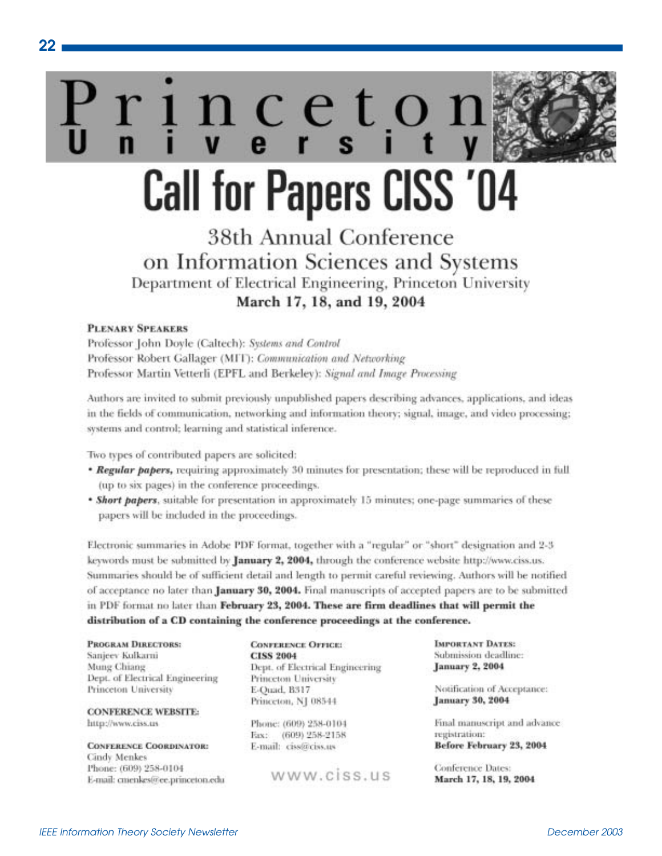# inceto **Call for Papers CISS '04**

## 38th Annual Conference on Information Sciences and Systems Department of Electrical Engineering, Princeton University March 17, 18, and 19, 2004

#### **PLENARY SPEAKERS**

 $22 \,$ 

Professor John Doyle (Caltech): Systems and Control Professor Robert Gallager (MIT): Communication and Networking Professor Martin Vetterli (EPFL and Berkeley): Signal and Image Processing

Authors are invited to submit previously unpublished papers describing advances, applications, and ideas in the fields of communication, networking and information theory; signal, image, and video processing; systems and control; learning and statistical inference.

Two types of contributed papers are solicited:

- \* Regular papers, requiring approximately 30 minutes for presentation; these will be reproduced in full (up to six pages) in the conference proceedings.
- **\* Short papers**, suitable for presentation in approximately 15 minutes; one-page summaries of these papers will be included in the proceedings.

Electronic summaries in Adobe PDF format, together with a "regular" or "short" designation and 2-3 keywords must be submitted by January 2, 2004, through the conference website http://www.ciss.us. Summaries should be of sufficient detail and length to permit careful reviewing. Authors will be notified of acceptance no later than January 30, 2004. Final manuscripts of accepted papers are to be submitted in PDF format no later than February 23, 2004. These are firm deadlines that will permit the distribution of a CD containing the conference proceedings at the conference.

PROGRAM DIRECTORS: Sanjeev Kulkarni Mung Chiang Dept. of Electrical Engineering Princeton University

**CONFERENCE WEBSITE:** http://www.ciss.us

**CONFERENCE COORDINATOR:** Cindy Menkes Phone: (609) 258-0104 E-mail: cmenkes@ee.princeton.edu **CONFERENCE OFFICE: CISS 2004** Dept. of Electrical Engineering Princeton University E-Quad, B317 Princeton, NJ 08544

Phone: (609) 258-0104 Eax: (609) 258-2158 E-mail: ciss@ciss.us

www.ciss.us

**IMPORTANT DATES:** Submission deadline: January 2, 2004

Notification of Acceptance: January 30, 2004

Final manuscript and advance registration: Before February 23, 2004

Conference Dates: March 17, 18, 19, 2004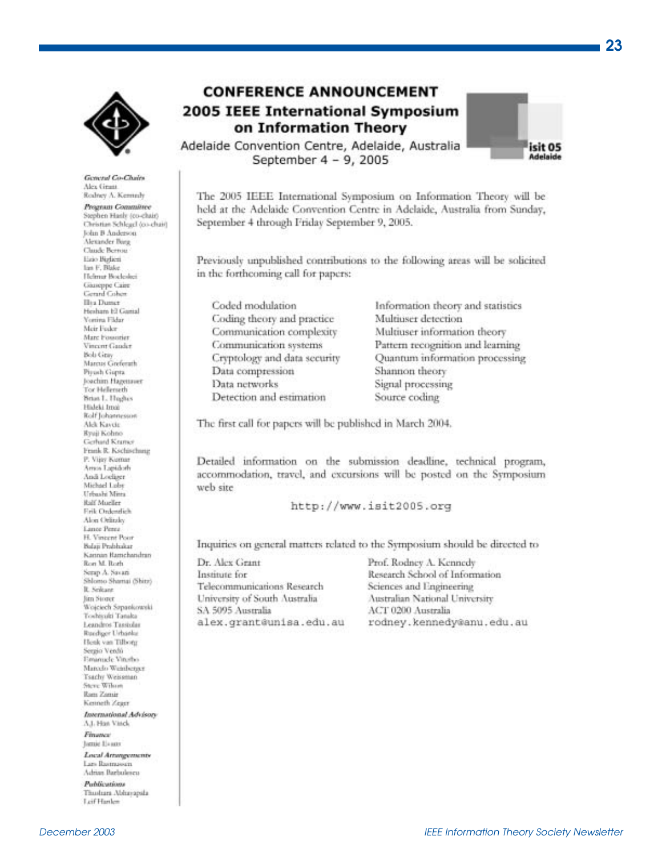

General Co-Chairs Alex Grant Rodney A. Kennedy Program Committee Stephen Hash (co-chair) Christian Schlegel (co-chair) John B Anderson. Alexander Burg Claude Bernau Esio Bizlieri lan F. Blake Helmat Bocleskei Giuseppe Caire Gerard Cohen **Illia** Dunct Hesham El Gamal Vertira Fildar Meir Feder Marc Fossorier Vincont Gauder Bob Gray Marcus Greferath Pirash Ganta Joachim Hazettaver Tor Helleneth Briat L. Highes Hideki Imai Rolf Johannesson Alek Kaycie Ryaji Kohno Gerhard Kramer Frank R. Kschischung P. Vijay Kumar Arrest Lapidoth And Lodiger Michael Loby Urbashi Mina **Ralf Mueller** Firik Ordentlich Alon Orlindo Lance Perez H. Vincent Poor Balais Prabhakar Kannan Ramchandran Ron M. Roth Serap A. Savan Shlomo Shamai (Shitz) R. Seikann Jim Stroet Wojciech Szpankowski Toshisuki Tanaka Leandros Tassiolas Ruediger Lirbanke Henk van Tilborg Sergio Verdo Eminude Vinsho Matedo Weinbenser Tsachy Weissman Steve Wilson Ram Zamir Kenneth Zearr International Advisory A.I. Has Visch Finance

henie Eisans Local Artungenumbe Lars Bastrasson Adrian Barbulescu

Pablications Thushara Abhayapsla Ltif Hanker



Adelaide Convention Centre, Adelaide, Australia September 4 - 9, 2005

The 2005 IEEE International Symposium on Information Theory will be held at the Adelaide Convention Centre in Adelaide, Australia from Sunday, September 4 through Friday September 9, 2005.

Previously unpublished contributions to the following areas will be solicited in the forthcoming call for papers:

Coded modulation Coding theory and practice Communication complexity Communication systems Cryptology and data security Data compression Data networks Detection and estimation

Information theory and statistics Multiuser detection Multiuser information theory Pattern recognition and learning Quantum information processing Shannon theory Signal processing Source coding

The first call for papers will be published in March 2004,

Detailed information on the submission deadline, technical program, accommodation, travel, and excursions will be posted on the Symposium web site

http://www.isit2005.org

Inquiries on general matters related to the Symposium should be directed to

Dr. Alex Grant Institute for Telecommunications Research University of South Australia SA 5095 Australia alex.grant@unisa.edu.au

Prof. Rodney A. Kennedy Research School of Information Sciences and Engineering Australian National University ACT 0200 Australia rodney.kennedy@anu.edu.au